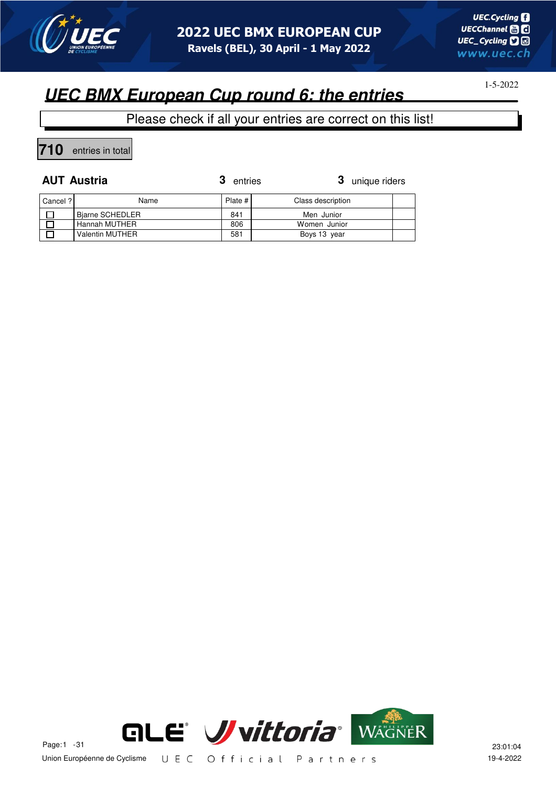

# **UEC BMX European Cup round 6: the entries**

Please check if all your entries are correct on this list!

**710** entries in total

**AUT Austria 3** unique riders

| Cancel ? | Name            | Plate # | Class description |  |
|----------|-----------------|---------|-------------------|--|
|          | Biarne SCHEDLER | 841     | Men Junior        |  |
|          | Hannah MUTHER   | 806     | Women Junior      |  |
|          | Valentin MUTHER | 581     | Boys 13 year      |  |

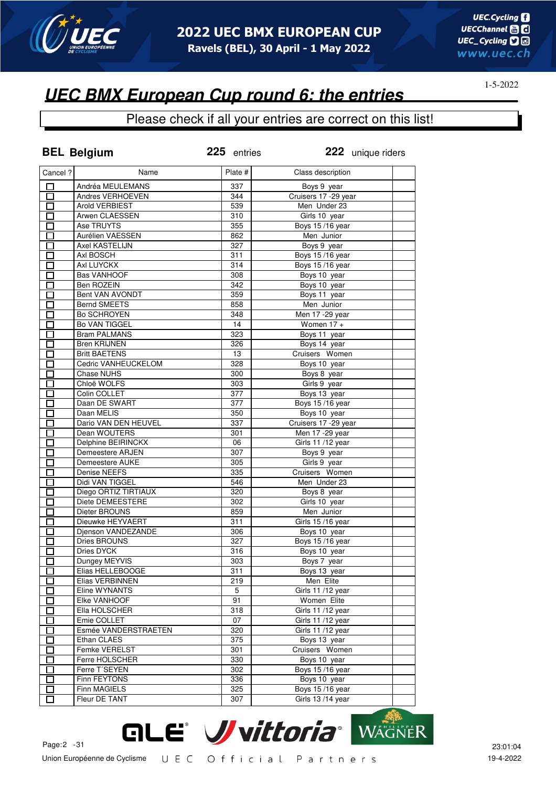

### Please check if all your entries are correct on this list!

|          | <b>BEL Belgium</b>   | 225 entries | 222 unique riders                 |  |
|----------|----------------------|-------------|-----------------------------------|--|
| Cancel ? | Name                 | Plate #     | Class description                 |  |
| П        | Andréa MEULEMANS     | 337         | Boys 9 year                       |  |
| 口        | Andres VERHOEVEN     | 344         | Cruisers 17 - 29 year             |  |
| П        | Arold VERBIEST       | 539         | Men Under 23                      |  |
| E.       | Arwen CLAESSEN       | 310         | Girls 10 year                     |  |
| П        | Ase TRUYTS           | 355         | Boys 15/16 year                   |  |
| П        | Aurélien VAESSEN     | 862         | Men Junior                        |  |
| П        | Axel KASTELIJN       | 327         | Boys 9 year                       |  |
| Π        | Axl BOSCH            | 311         | Boys 15/16 year                   |  |
| П        | Axl LUYCKX           | 314         | Boys 15/16 year                   |  |
| $\Box$   | <b>Bas VANHOOF</b>   | 308         | Boys 10 year                      |  |
| П        | Ben ROZEIN           | 342         | Boys 10 year                      |  |
| П        | Bent VAN AVONDT      | 359         | Boys 11 year                      |  |
| П        | <b>Bernd SMEETS</b>  | 858         | Men Junior                        |  |
| $\Box$   | <b>Bo SCHROYEN</b>   | 348         | Men 17 - 29 year                  |  |
| П        | <b>Bo VAN TIGGEL</b> | 14          | Women $17 +$                      |  |
| П        | <b>Bram PALMANS</b>  | 323         | Boys 11 year                      |  |
| П        | <b>Bren KRIJNEN</b>  | 326         | Boys 14 year                      |  |
| $\Box$   | <b>Britt BAETENS</b> | 13          | Cruisers Women                    |  |
| $\Box$   | Cedric VANHEUCKELOM  | 328         | Boys 10 year                      |  |
| П        | Chase NUHS           | 300         | Boys 8 year                       |  |
| П        | Chloë WOLFS          | 303         | Girls 9 year                      |  |
| $\Box$   | Colin COLLET         | 377         | Boys 13 year                      |  |
| $\Box$   | Daan DE SWART        | 377         | Boys 15/16 year                   |  |
| П        | Daan MELIS           | 350         | Boys 10 year                      |  |
| П        | Dario VAN DEN HEUVEL | 337         | Cruisers 17 -29 year              |  |
| П        | Dean WOUTERS         | 301         | Men 17 - 29 year                  |  |
| П        | Delphine BEIRINCKX   | 06          | Girls 11 /12 year                 |  |
| $\Box$   | Demeestere ARJEN     | 307         | Boys 9 year                       |  |
| Π        | Demeestere AUKE      | 305         | Girls 9 year                      |  |
| Ī        | Denise NEEFS         | 335         | Cruisers Women                    |  |
| П        | Didi VAN TIGGEL      | 546         | Men Under 23                      |  |
| Π        | Diego ORTIZ TIRTIAUX | 320         | Boys 8 year                       |  |
| П        | Diete DEMEESTERE     | 302         | Girls 10 year                     |  |
|          | Dieter BROUNS        | 859         | Men Junior                        |  |
| $\Box$   | Dieuwke HEYVAERT     | 311         |                                   |  |
| $\Box$   | Djenson VANDEZANDE   | 306         | Girls 15 /16 year<br>Boys 10 year |  |
| П        | <b>Dries BROUNS</b>  | 327         | Boys 15/16 year                   |  |
|          | Dries DYCK           | 316         |                                   |  |
| Π        | Dungey MEYVIS        | 303         | Boys 10 year                      |  |
| П        |                      |             | Boys 7 year                       |  |
|          | Elias HELLEBOOGE     | 311         | Boys 13 year<br>Men Elite         |  |
|          | Elias VERBINNEN      | 219         |                                   |  |
| П        | Eline WYNANTS        | 5           | Girls 11/12 year                  |  |
| П        | Elke VANHOOF         | 91          | Women Elite                       |  |
| П        | Ella HOLSCHER        | 318         | Girls 11 /12 year                 |  |
| П        | Emie COLLET          | 07          | Girls 11/12 year                  |  |
| П        | Esmée VANDERSTRAETEN | 320         | Girls 11/12 year                  |  |
| $\Box$   | Ethan CLAES          | 375         | Boys 13 year                      |  |
| П        | Femke VERELST        | 301         | Cruisers Women                    |  |
|          | Ferre HOLSCHER       | 330         | Boys 10 year                      |  |
|          | Ferre T'SEYEN        | 302         | Boys 15/16 year                   |  |
|          | Finn FEYTONS         | 336         | Boys 10 year                      |  |
|          | <b>Finn MAGIELS</b>  | 325         | Boys 15/16 year                   |  |
|          | Fleur DE TANT        | 307         | Girls 13/14 year                  |  |

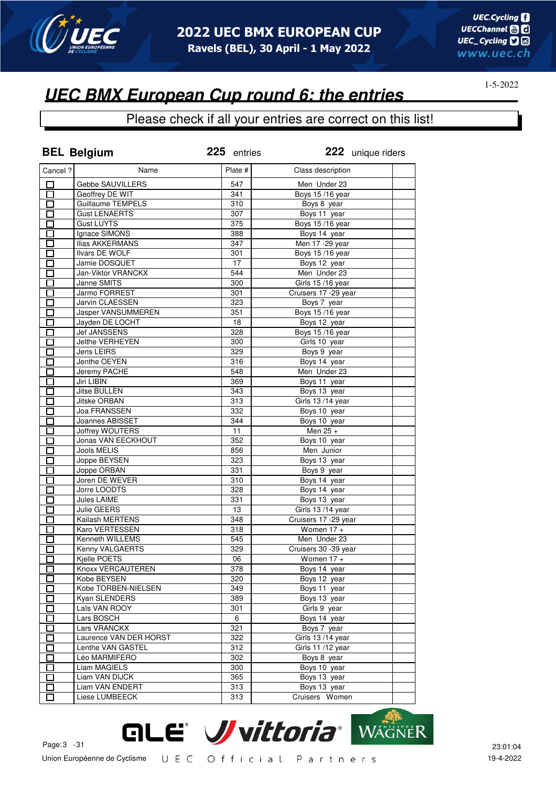

### Please check if all your entries are correct on this list!

|                                                      | <b>BEL Belgium</b>                | 225 entries | 222 unique riders          |  |
|------------------------------------------------------|-----------------------------------|-------------|----------------------------|--|
| Cancel ?                                             | Name                              | Plate #     | Class description          |  |
| □                                                    | Gebbe SAUVILLERS                  | 547         | Men Under 23               |  |
| $\Box$                                               | Geoffrey DE WIT                   | 341         | Boys 15/16 year            |  |
| $\Box$                                               | Guillaume TEMPELS                 | 310         | Boys 8 year                |  |
| $\Box$                                               | <b>Gust LENAERTS</b>              | 307         | Boys 11 year               |  |
| $\Box$                                               | <b>Gust LUYTS</b>                 | 375         | Boys 15/16 year            |  |
| $\Box$                                               | Ignace SIMONS                     | 388         | Boys 14 year               |  |
| $\Box$                                               | <b>Ilias AKKERMANS</b>            | 347         | Men 17 - 29 year           |  |
| $\Box$                                               | <b>Ilvars DE WOLF</b>             | 301         | Boys 15/16 year            |  |
| $\overline{\Box}$                                    | Jamie DOSQUET                     | 17          | Boys 12 year               |  |
| $\overline{\Box}$                                    | Jan-Viktor VRANCKX                | 544         | Men Under 23               |  |
| П                                                    | Janne SMITS                       | 300         | Girls 15/16 year           |  |
| П                                                    | Jarmo FORREST                     | 301         | Cruisers 17 -29 year       |  |
| n an an Aonaichte ag an Sualach an 1977.<br>Tagairtí | Jarvin CLAESSEN                   | 323         | Boys 7 year                |  |
| П                                                    | Jasper VANSUMMEREN                | 351         | <b>Boys 15/16 year</b>     |  |
| $\mathcal{L}$                                        | Jayden DE LOCHT                   | 18          | Boys 12 year               |  |
| П                                                    | Jef JANSSENS                      | 328         | <b>Boys 15/16 year</b>     |  |
| $\overline{\phantom{0}}$                             | Jelthe VERHEYEN                   | 300         | Girls 10 year              |  |
| П                                                    | Jens LEIRS                        | 329         | Boys 9 year                |  |
| E.                                                   | Jenthe OEYEN                      | 316         | Boys 14 year               |  |
| П                                                    | Jeremy PACHE                      | 548         | Men Under 23               |  |
| П                                                    | Jiri LIBIN                        | 369         | Boys 11 year               |  |
| П                                                    | Jitse BULLEN                      | 343         | Boys 13 year               |  |
| $\Box$                                               | Jitske ORBAN                      | 313         | Girls 13/14 year           |  |
| П                                                    | Joa FRANSSEN                      | 332         | Boys 10 year               |  |
|                                                      | Joannes ABISSET                   | 344         |                            |  |
| $\Box$                                               |                                   |             | Boys 10 year               |  |
| $\Box$                                               | <b>Joffrey WOUTERS</b>            | 11          | Men 25 +                   |  |
| $\Box$<br>П                                          | Jonas VAN EECKHOUT<br>Jools MELIS | 352         | Boys 10 year<br>Men Junior |  |
|                                                      |                                   | 856<br>323  |                            |  |
| $\Box$<br>П                                          | Joppe BEYSEN                      |             | Boys 13 year               |  |
|                                                      | Joppe ORBAN                       | 331         | Boys 9 year                |  |
| П                                                    | Joren DE WEVER                    | 310         | Boys 14 year               |  |
| П                                                    | Jorre LOODTS                      | 328         | Boys 14 year               |  |
| П                                                    | Jules LAIME                       | 331         | Boys 13 year               |  |
| $\Box$                                               | Julie GEERS                       | 13          | Girls 13/14 year           |  |
| $\Box$                                               | Kailash MERTENS                   | 348         | Cruisers 17 - 29 year      |  |
| П                                                    | Karo VERTESSEN                    | 318         | Women $17 +$               |  |
| $\Box$                                               | Kenneth WILLEMS                   | 545         | Men Under 23               |  |
|                                                      | Kenny VALGAERTS                   | 329         | Cruisers 30 -39 year       |  |
| $\overline{\Box}$                                    | Kjelle POETS                      | 06          | Women $17 +$               |  |
| ப                                                    | Knoxx VERCAUTEREN                 | 378         | Boys 14 year               |  |
| П                                                    | Kobe BEYSEN                       | 320         | Boys 12 year               |  |
| П                                                    | Kobe TORBEN-NIELSEN               | 349         | Boys 11 year               |  |
| П                                                    | Kyan SLENDERS                     | 389         | Boys 13 year               |  |
| $\mathbf{I}$                                         | Laïs VAN ROOY                     | 301         | Girls 9 year               |  |
| Ξ                                                    | Lars BOSCH                        | 6           | Boys 14 year               |  |
| П                                                    | Lars VRANCKX                      | 321         | Boys 7 year                |  |
| П                                                    | Laurence VAN DER HORST            | 322         | Girls 13/14 year           |  |
| $\Box$                                               | Lenthe VAN GASTEL                 | 312         | Girls 11/12 year           |  |
| $\overline{\phantom{0}}$                             | Léo MARMIFERO                     | 302         | Boys 8 year                |  |
| I I                                                  | Liam MAGIELS                      | 300         | Boys 10 year               |  |
| П                                                    | Liam VAN DIJCK                    | 365         | Boys 13 year               |  |
| $\Box$                                               | Liam VAN ENDERT                   | 313         | Boys 13 year               |  |
| П                                                    | Liese LUMBEECK                    | 313         | Cruisers Women             |  |

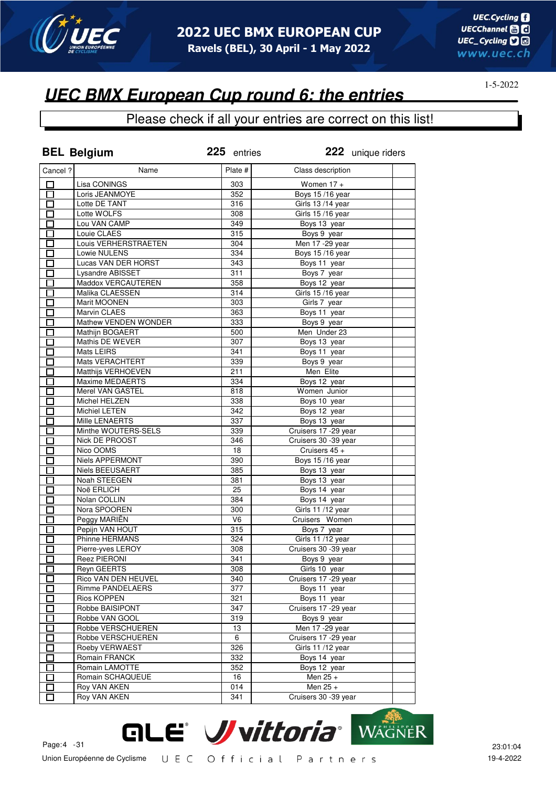

## **UEC BMX European Cup round 6: the entries**

|                      | <b>BEL Belgium</b>                | 225 entries      | 222 unique riders                |  |
|----------------------|-----------------------------------|------------------|----------------------------------|--|
| Cancel ?             | Name                              | Plate #          | Class description                |  |
| 口                    | Lisa CONINGS                      | 303              | Women $17 +$                     |  |
| 口                    | Loris JEANMOYE                    | 352              | Boys 15/16 year                  |  |
| 口                    | Lotte DE TANT                     | 316              | Girls 13/14 year                 |  |
| $\Box$               | Lotte WOLFS                       | 308              | Girls 15/16 year                 |  |
| $\Box$               | Lou VAN CAMP                      | 349              | Boys 13 year                     |  |
| $\Box$               | Louie CLAES                       | 315              | Boys 9 year                      |  |
| Ú                    | Louis VERHERSTRAETEN              | 304              | Men 17 - 29 year                 |  |
| $\Box$               | Lowie NULENS                      | 334              | Boys 15/16 year                  |  |
| $\Box$               | Lucas VAN DER HORST               | 343              | Boys 11 year                     |  |
| $\overline{\Box}$    | <b>Lysandre ABISSET</b>           | 311              | Boys 7 year                      |  |
| 囗                    | Maddox VERCAUTEREN                | 358              | Boys 12 year                     |  |
| $\Box$               | Malika CLAESSEN                   | 314              | Girls 15/16 year                 |  |
| П                    | Marit MOONEN                      | 303              | Girls 7 year                     |  |
| П                    | Marvin CLAES                      | 363              | Boys 11 year                     |  |
| П                    | Mathew VENDEN WONDER              | 333              | Boys 9 year                      |  |
| П                    | Mathijn BOGAERT                   | 500              | Men Under 23                     |  |
| $\Box$               | Mathis DE WEVER                   | 307              | Boys 13 year                     |  |
| П                    | Mats LEIRS                        | 341              | Boys 11 year                     |  |
| П                    | Mats VERACHTERT                   | 339              | Boys 9 year                      |  |
| $\Box$               | Matthijs VERHOEVEN                | 211              | Men Elite                        |  |
| $\Box$               | Maxime MEDAERTS                   | 334              | Boys 12 year                     |  |
| П                    | Merel VAN GASTEL                  | 818              | Women Junior                     |  |
| $\Box$               | Michel HELZEN                     | 338              | Boys 10 year                     |  |
| $\Box$               | Michiel LETEN                     | 342              | Boys 12 year                     |  |
| $\Box$               | Mille LENAERTS                    | 337              | Boys 13 year                     |  |
| 囗                    | Minthe WOUTERS-SELS               | 339              | Cruisers 17 - 29 year            |  |
| 囗                    | Nick DE PROOST                    | $\overline{346}$ | Cruisers 30 -39 year             |  |
| П                    | Nico OOMS                         | 18               | Cruisers 45 +                    |  |
| $\Box$               | Niels APPERMONT                   | 390              | Boys 15/16 year                  |  |
| П                    | <b>Niels BEEUSAERT</b>            | 385              | Boys 13 year                     |  |
| П                    | Noah STEEGEN                      | 381              | Boys 13 year                     |  |
| $\Box$               | Noë ERLICH                        | 25               | Boys 14 year                     |  |
| $\Box$               | Nolan COLLIN                      | 384              | Boys 14 year                     |  |
| $\Box$               | Nora SPOOREN                      | 300              | Girls 11 /12 year                |  |
| $\Box$               | Peggy MARIËN                      | V <sub>6</sub>   | Cruisers Women                   |  |
| Ď                    | Pepijn VAN HOUT                   | 315              |                                  |  |
| $\Box$               | Phinne HERMANS                    | 324              | Boys 7 year<br>Girls 11 /12 year |  |
|                      |                                   | 308              | Cruisers 30 -39 year             |  |
| $\overline{\square}$ | Pierre-yves LEROY<br>Reez PIERONI | 341              | Boys 9 year                      |  |
|                      | <b>Reyn GEERTS</b>                | 308              | Girls 10 year                    |  |
| ப                    |                                   |                  | Cruisers 17 - 29 year            |  |
| П                    | Rico VAN DEN HEUVEL               | 340              |                                  |  |
|                      | Rimme PANDELAERS                  | 377              | Boys 11 year                     |  |
| Г                    | Rios KOPPEN                       | 321              | Boys 11 year                     |  |
| П                    | Robbe BAISIPONT                   | 347              | Cruisers 17 - 29 year            |  |
| П                    | Robbe VAN GOOL                    | 319              | Boys 9 year                      |  |
|                      | Robbe VERSCHUEREN                 | 13               | Men 17 - 29 year                 |  |
| П                    | Robbe VERSCHUEREN                 | 6                | Cruisers 17 - 29 year            |  |
| П                    | Roeby VERWAEST                    | 326              | Girls 11 /12 year                |  |
| $\mathsf{\Gamma}$    | Romain FRANCK                     | 332              | Boys 14 year                     |  |
| П                    | Romain LAMOTTE                    | 352              | Boys 12 year                     |  |
| П                    | Romain SCHAQUEUE                  | 16               | Men 25 +                         |  |
| $\mathbf{I}$         | Roy VAN AKEN                      | 014              | Men $25 +$                       |  |
| $\mathbf{I}$         | Roy VAN AKEN                      | 341              | Cruisers 30 - 39 year            |  |

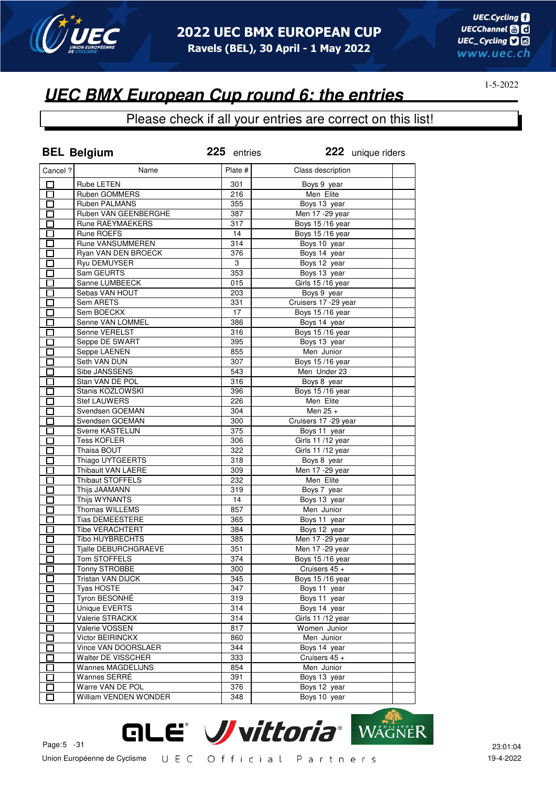

# **UEC BMX European Cup round 6: the entries**

|                      | <b>BEL Belgium</b>      | 225 entries               | 222 unique riders     |  |
|----------------------|-------------------------|---------------------------|-----------------------|--|
| Cancel ?             | Name                    | Plate #                   | Class description     |  |
| 口                    | Rube LETEN              | 301                       | Boys 9 year           |  |
| $\overline{\Box}$    | Ruben GOMMERS           | 216                       | Men Elite             |  |
| $\overline{\Box}$    | Ruben PALMANS           | 355                       | Boys 13 year          |  |
| 口                    | Ruben VAN GEENBERGHE    | 387                       | Men 17 - 29 year      |  |
| $\Box$               | Rune RAEYMAEKERS        | 317                       | Boys 15/16 year       |  |
| $\Box$               | Rune ROEFS              | 14                        | Boys 15/16 year       |  |
| 口                    | Rune VANSUMMEREN        | 314                       | Boys 10 year          |  |
| $\Box$               | Ryan VAN DEN BROECK     | 376                       | Boys 14 year          |  |
| $\overline{\Box}$    | <b>Ryu DEMUYSER</b>     | $\ensuremath{\mathsf{3}}$ | Boys 12 year          |  |
| $\overline{\Box}$    | Sam GEURTS              | 353                       | Boys 13 year          |  |
| 靣                    | Sanne LUMBEECK          | 015                       | Girls 15/16 year      |  |
| $\Box$               | Sebas VAN HOUT          | 203                       | Boys 9 year           |  |
| П                    | Sem ARETS               | 331                       | Cruisers 17 -29 year  |  |
| П                    | Sem BOECKX              | 17                        | Boys 15/16 year       |  |
| П                    | Senne VAN LOMMEL        | 386                       | Boys 14 year          |  |
| $\Box$               | Senne VERELST           | 316                       | Boys 15/16 year       |  |
| Ō                    | Seppe DE SWART          | 395                       | Boys 13 year          |  |
| П                    | Seppe LAENEN            | 855                       | Men Junior            |  |
| П                    | Seth VAN DUN            | 307                       | Boys 15/16 year       |  |
| $\Box$               | Sibe JANSSENS           | 543                       | Men Under 23          |  |
| $\Box$               | Stan VAN DE POL         | 316                       | Boys 8 year           |  |
| П                    | Stanis KOZLOWSKI        | 396                       | Boys 15/16 year       |  |
|                      |                         |                           |                       |  |
| $\Box$               | <b>Stef LAUWERS</b>     | 226                       | Men Elite             |  |
| □                    | Svendsen GOEMAN         | 304                       | Men $25 +$            |  |
| 囗                    | Svendsen GOEMAN         | 300                       | Cruisers 17 - 29 year |  |
| $\Box$               | Sverre KASTELIJN        | 375                       | Boys 11 year          |  |
| 囗                    | <b>Tess KOFLER</b>      | 306                       | Girls 11 /12 year     |  |
| П                    | Thaisa BOUT             | 322                       | Girls 11 /12 year     |  |
| $\Box$               | Thiago UYTGEERTS        | 318                       | Boys 8 year           |  |
| 囗                    | Thibault VAN LAERE      | 309                       | Men 17 - 29 year      |  |
| $\Box$               | <b>Thibaut STOFFELS</b> | 232                       | Men Elite             |  |
| $\Box$               | Thijs JAAMANN           | 319                       | Boys 7 year           |  |
| $\Box$               | Thijs WYNANTS           | 14                        | Boys 13 year          |  |
| $\Box$               | Thomas WILLEMS          | 857                       | Men Junior            |  |
| $\Box$               | <b>Tias DEMEESTERE</b>  | 365                       | Boys 11 year          |  |
| $\Box$               | <b>Tibe VERACHTERT</b>  | 384                       | Boys 12 year          |  |
| $\Box$               | Tibo HUYBRECHTS         | 385                       | Men 17 - 29 year      |  |
|                      | Tjalle DEBURCHGRAEVE    | 351                       | Men 17 - 29 year      |  |
| $\overline{\square}$ | Tom STOFFELS            | 374                       | Boys 15/16 year       |  |
| ப                    | Tonny STROBBE           | 300                       | Cruisers 45 +         |  |
| П                    | Tristan VAN DIJCK       | 345                       | Boys 15/16 year       |  |
| П                    | <b>Tyas HOSTE</b>       | 347                       | Boys 11 year          |  |
| П                    | Tyron BESONHÉ           | 319                       | Boys 11 year          |  |
| $\mathsf{\Gamma}$    | Unique EVERTS           | 314                       | Boys 14 year          |  |
| П                    | Valerie STRACKX         | 314                       | Girls 11 /12 year     |  |
| $\blacksquare$       | Valerie VOSSEN          | 817                       | Women Junior          |  |
| П                    | Victor BEIRINCKX        | 860                       | Men Junior            |  |
| П                    | Vince VAN DOORSLAER     | 344                       | Boys 14 year          |  |
| $\mathsf{\Gamma}$    | Walter DE VISSCHER      | 333                       | Cruisers 45 +         |  |
| П                    | Wannes MAGDELIJNS       | 854                       | Men Junior            |  |
| П                    | Wannes SERRÉ            | 391                       | Boys 13 year          |  |
| П                    | Warre VAN DE POL        | 376                       | Boys 12 year          |  |
| П                    | William VENDEN WONDER   | 348                       | Boys 10 year          |  |
|                      |                         |                           |                       |  |

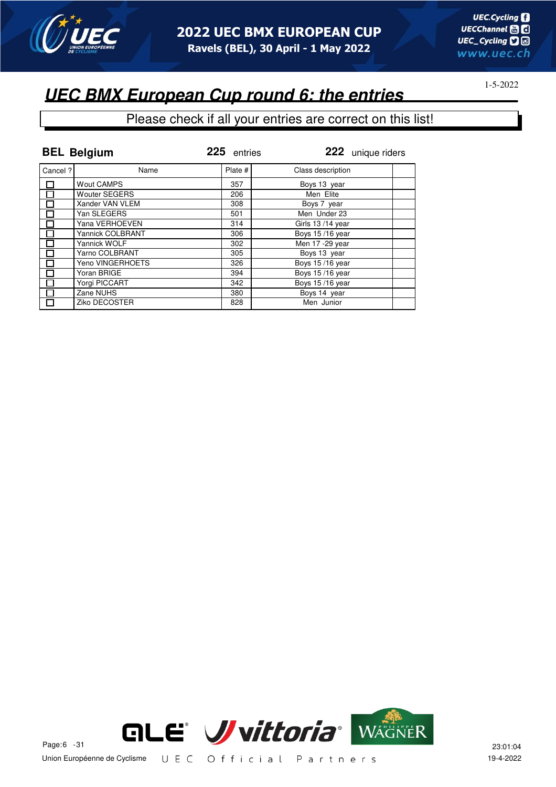

## **UEC BMX European Cup round 6: the entries**

|         | <b>BEL Belgium</b>      | 225 entries | 222 unique riders |
|---------|-------------------------|-------------|-------------------|
| Cancel? | Name                    | Plate #     | Class description |
|         | <b>Wout CAMPS</b>       | 357         | Boys 13 year      |
| П       | <b>Wouter SEGERS</b>    | 206         | Men Elite         |
|         | Xander VAN VLEM         | 308         | Boys 7 year       |
| $\Box$  | Yan SLEGERS             | 501         | Men Under 23      |
| $\Box$  | Yana VERHOEVEN          | 314         | Girls 13/14 year  |
| 囗       | <b>Yannick COLBRANT</b> | 306         | Boys 15/16 year   |
| П       | Yannick WOLF            | 302         | Men 17 - 29 year  |
| Π       | Yarno COLBRANT          | 305         | Boys 13 year      |
| П       | Yeno VINGERHOETS        | 326         | Boys 15/16 year   |
|         | Yoran BRIGE             | 394         | Boys 15/16 year   |
|         | Yorgi PICCART           | 342         | Boys 15/16 year   |
|         | Zane NUHS               | 380         | Boys 14 year      |
| П       | Ziko DECOSTER           | 828         | Men Junior        |

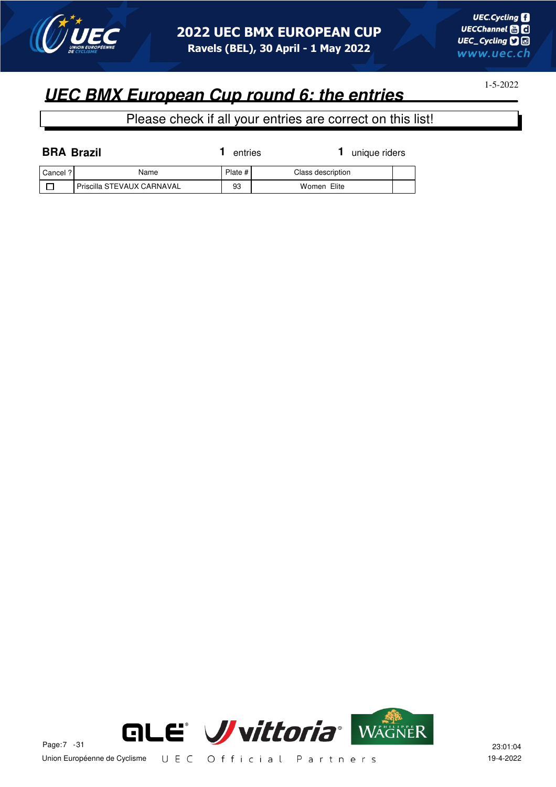

1-5-2022

| <b>BRA Brazil</b> |                            | entries | unique riders     |  |
|-------------------|----------------------------|---------|-------------------|--|
| Cancel ?          | Name                       | Plate # | Class description |  |
|                   | Priscilla STEVAUX CARNAVAL | 93      | Women Elite       |  |

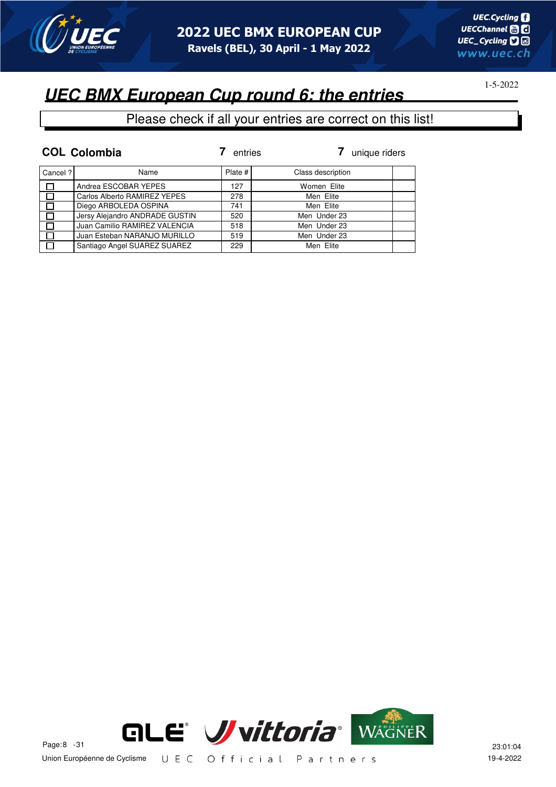

# **UEC BMX European Cup round 6: the entries**

|          | <b>COL Colombia</b>            | entries   | unique riders     |
|----------|--------------------------------|-----------|-------------------|
| Cancel ? | Name                           | Plate $#$ | Class description |
| $\Box$   | Andrea ESCOBAR YEPES           | 127       | Women Elite       |
| $\Box$   | Carlos Alberto RAMIREZ YEPES   | 278       | Men Elite         |
| $\Box$   | Diego ARBOLEDA OSPINA          | 741       | Men Elite         |
| ा        | Jersy Alejandro ANDRADE GUSTIN | 520       | Men Under 23      |
| $\Box$   | Juan Camilio RAMIREZ VALENCIA  | 518       | Men Under 23      |
| ा        | Juan Esteban NARANJO MURILLO   | 519       | Men Under 23      |
| П        | Santiago Angel SUAREZ SUAREZ   | 229       | Men Elite         |

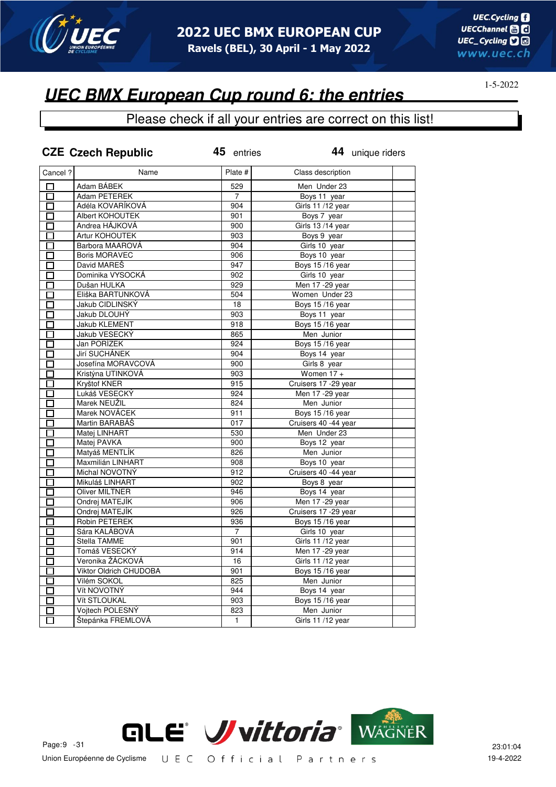

### **UEC BMX European Cup round 6: the entries**

|                           | <b>CZE Czech Republic</b> | 45 entries     | 44 unique riders       |  |
|---------------------------|---------------------------|----------------|------------------------|--|
| Cancel?                   | Name                      | Plate #        | Class description      |  |
| П                         | Adam BÁBEK                | 529            | Men Under 23           |  |
| $\Box$                    | Adam PETEREK              | $\overline{7}$ | Boys 11 year           |  |
| П                         | Adéla KOVARÍKOVÁ          | 904            | Girls 11 /12 year      |  |
| П                         | Albert KOHOUTEK           | 901            | Boys 7 year            |  |
| П                         | Andrea HÁJKOVÁ            | 900            | Girls 13/14 year       |  |
| П                         | Artur KOHOUTEK            | 903            | Boys 9 year            |  |
| П                         | Barbora MAAROVÁ           | 904            | Girls 10 year          |  |
| ◻                         | <b>Boris MORAVEC</b>      | 906            | Boys 10 year           |  |
| $\overline{\blacksquare}$ | David MAREŠ               | 947            | Boys 15/16 year        |  |
| $\Box$                    | Dominika VYSOCKÁ          | 902            | Girls 10 year          |  |
| $\overline{\Box}$         | Dušan HULKA               | 929            | Men 17 - 29 year       |  |
| $\Box$                    | Eliška BARTUNKOVÁ         | 504            | Women Under 23         |  |
| П                         | Jakub CIDLINSKÝ           | 18             | Boys 15/16 year        |  |
| $\Box$                    | Jakub DLOUHÝ              | 903            | Boys 11 year           |  |
| П                         | Jakub KLEMENT             | 918            | Boys 15/16 year        |  |
| $\Box$                    | Jakub VESECKÝ             | 865            | Men Junior             |  |
| П                         | Jan PORÍZEK               | 924            | Boys 15/16 year        |  |
| □                         | Jirí SUCHÁNEK             | 904            | Boys 14 year           |  |
| П                         | Josefína MORAVCOVÁ        | 900            | Girls 8 year           |  |
| П                         | Kristýna UTINKOVÁ         | 903            | Women $17 +$           |  |
| $\Box$                    | Kryštof KNER              | 915            | Cruisers 17 -29 year   |  |
| П                         | Lukáš VESECKÝ             | 924            | Men 17 - 29 year       |  |
| П                         | Marek NEUŽIL              | 824            | Men Junior             |  |
| П                         | Marek NOVÁCEK             | 911            | Boys 15/16 year        |  |
| П                         | Martin BARABÁŠ            | 017            | Cruisers 40 -44 year   |  |
| □                         | Matej LINHART             | 530            | Men Under 23           |  |
| $\Box$                    | Matej PAVKA               | 900            | Boys 12 year           |  |
| 口                         | Matyáš MENTLÍK            | 826            | Men Junior             |  |
| 口                         | Maxmilián LINHART         | 908            | Boys 10 year           |  |
| П                         | Michal NOVOTNÝ            | 912            | Cruisers 40 -44 year   |  |
| $\overline{\Box}$         | Mikuláš LINHART           | 902            | Boys 8 year            |  |
| $\overline{\Box}$         | <b>Oliver MILTNER</b>     | 946            | Boys 14 year           |  |
| □                         | Ondrej MATEJÍK            | 906            | Men 17 - 29 year       |  |
| $\Box$                    | Ondrej MATEJÍK            | 926            | Cruisers 17 - 29 year  |  |
| П                         | Robin PETEREK             | 936            | Boys 15/16 year        |  |
| П                         | Sára KALÁBOVÁ             | $\overline{7}$ | Girls 10 year          |  |
| П                         | Stella TAMME              | 901            | Girls 11/12 year       |  |
| П                         | Tomáš VESECKÝ             | 914            | Men 17 - 29 year       |  |
| П                         | Veronika ŽÁCKOVÁ          | 16             | Girls 11/12 year       |  |
| П                         | Viktor Oldrich CHUDOBA    | 901            | <b>Boys 15/16 year</b> |  |
| П                         | Vilém SOKOL               | 825            | Men Junior             |  |
| ◘                         | Vít NOVOTNÝ               | 944            | Boys 14 year           |  |
| П                         | Vít STLOUKAL              | 903            | <b>Boys 15/16 year</b> |  |
| $\Box$                    | Vojtech POLESNÝ           | 823            | Men Junior             |  |
| $\overline{\Box}$         | Štepánka FREMLOVÁ         | $\mathbf{1}$   | Girls 11 /12 year      |  |

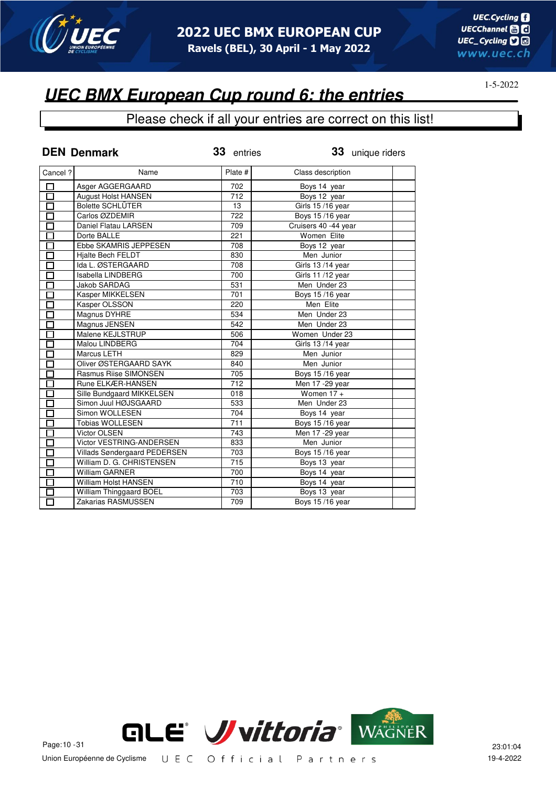

#### Please check if all your entries are correct on this list!

|                      | <b>DEN Denmark</b>           | 33 entries | 33 unique riders     |  |
|----------------------|------------------------------|------------|----------------------|--|
| Cancel ?             | Name                         | Plate #    | Class description    |  |
| П                    | Asger AGGERGAARD             | 702        | Boys 14 year         |  |
| $\overline{\Box}$    | <b>August Holst HANSEN</b>   | 712        | Boys 12 year         |  |
| П                    | <b>Bolette SCHLÜTER</b>      | 13         | Girls 15/16 year     |  |
| П                    | Carlos ØZDEMIR               | 722        | Boys 15/16 year      |  |
| П                    | Daniel Flatau LARSEN         | 709        | Cruisers 40 -44 year |  |
| П                    | Dorte BALLE                  | 221        | Women Elite          |  |
| П                    | Ebbe SKAMRIS JEPPESEN        | 708        | Boys 12 year         |  |
| П                    | Hjalte Bech FELDT            | 830        | Men Junior           |  |
| П                    | Ida L. ØSTERGAARD            | 708        | Girls 13/14 year     |  |
| $\Box$               | Isabella LINDBERG            | 700        | Girls 11 /12 year    |  |
| $\Box$               | Jakob SARDAG                 | 531        | Men Under 23         |  |
| $\Box$               | Kasper MIKKELSEN             | 701        | Boys 15/16 year      |  |
| П                    | Kasper OLSSON                | 220        | Men Elite            |  |
| $\Box$               | Magnus DYHRE                 | 534        | Men Under 23         |  |
| $\Box$               | Magnus JENSEN                | 542        | Men Under 23         |  |
| $\overline{\Box}$    | Malene KEJLSTRUP             | 506        | Women Under 23       |  |
| $\overline{\square}$ | Malou LINDBERG               | 704        | Girls 13/14 year     |  |
| $\overline{\square}$ | Marcus LETH                  | 829        | Men Junior           |  |
| $\overline{\square}$ | Oliver ØSTERGAARD SAYK       | 840        | Men Junior           |  |
| $\overline{\Box}$    | Rasmus Riise SIMONSEN        | 705        | Boys 15/16 year      |  |
| $\overline{\Box}$    | Rune ELKÆR-HANSEN            | 712        | Men 17 - 29 year     |  |
| $\Box$               | Sille Bundgaard MIKKELSEN    | 018        | Women $17 +$         |  |
| $\Box$               | Simon Juul HØJSGAARD         | 533        | Men Under 23         |  |
| П                    | Simon WOLLESEN               | 704        | Boys 14 year         |  |
| $\overline{\Box}$    | <b>Tobias WOLLESEN</b>       | 711        | Boys 15/16 year      |  |
| $\Box$               | <b>Victor OLSEN</b>          | 743        | Men 17 - 29 year     |  |
| $\overline{\Box}$    | Victor VESTRING-ANDERSEN     | 833        | Men Junior           |  |
| $\Box$               | Villads Søndergaard PEDERSEN | 703        | Boys 15/16 year      |  |
| $\overline{\Box}$    | William D. G. CHRISTENSEN    | 715        | Boys 13 year         |  |
| $\overline{\Box}$    | William GARNER               | 700        | Boys 14 year         |  |
| $\Box$               | <b>William Holst HANSEN</b>  | 710        | Boys 14 year         |  |
| П                    | William Thinggaard BOEL      | 703        | Boys 13 year         |  |
| П                    | Zakarias RASMUSSEN           | 709        | Boys 15/16 year      |  |

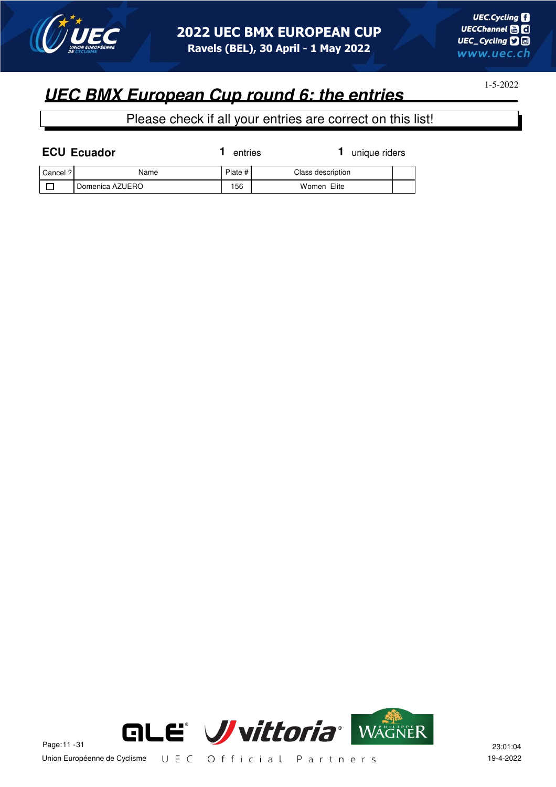

1-5-2022

| <b>ECU Ecuador</b> |                 | entries | unique riders     |  |
|--------------------|-----------------|---------|-------------------|--|
| Cancel ?           | Name            | Plate # | Class description |  |
|                    | Domenica AZUERO | 156     | Women Elite       |  |

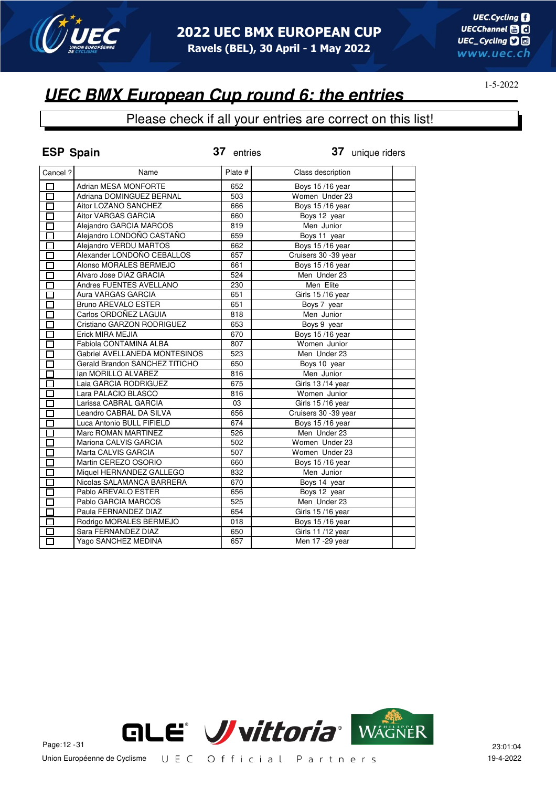

## **UEC BMX European Cup round 6: the entries**

| <b>ESP Spain</b>  |                                | 37 entries | 37 unique riders     |
|-------------------|--------------------------------|------------|----------------------|
| Cancel ?          | Name                           | Plate #    | Class description    |
| 口                 | <b>Adrian MESA MONFORTE</b>    | 652        | Boys 15/16 year      |
| σ                 | Adriana DOMINGUEZ BERNAL       | 503        | Women Under 23       |
| $\overline{\Box}$ | Aitor LOZANO SANCHEZ           | 666        | Boys 15/16 year      |
| П                 | Aitor VARGAS GARCIA            | 660        | Boys 12 year         |
| $\Box$            | Alejandro GARCIA MARCOS        | 819        | Men Junior           |
| П                 | Alejandro LONDOÑO CASTAÑO      | 659        | Boys 11 year         |
| П                 | Alejandro VERDU MARTOS         | 662        | Boys 15/16 year      |
| П                 | Alexander LONDOÑO CEBALLOS     | 657        | Cruisers 30 -39 year |
| $\overline{\Box}$ | Alonso MORALES BERMEJO         | 661        | Boys 15/16 year      |
| П                 | Alvaro Jose DIAZ GRACIA        | 524        | Men Under 23         |
| П                 | Andres FUENTES AVELLANO        | 230        | Men Elite            |
| П                 | Aura VARGAS GARCIA             | 651        | Girls 15/16 year     |
| П                 | Bruno AREVALO ESTER            | 651        | Boys 7 year          |
| П                 | Carlos ORDOÑEZ LAGUIA          | 818        | Men Junior           |
| П                 | Cristiano GARZON RODRIGUEZ     | 653        | Boys 9 year          |
| П                 | Erick MIRA MEJIA               | 670        | Boys 15/16 year      |
| П                 | Fabiola CONTAMINA ALBA         | 807        | Women Junior         |
| П                 | Gabriel AVELLANEDA MONTESINOS  | 523        | Men Under 23         |
| П                 | Gerald Brandon SANCHEZ TITICHO | 650        | Boys 10 year         |
| П                 | Ian MORILLO ALVAREZ            | 816        | Men Junior           |
| П                 | Laia GARCIA RODRIGUEZ          | 675        | Girls 13/14 year     |
| П                 | Lara PALACIO BLASCO            | 816        | Women Junior         |
| П                 | Larissa CABRAL GARCIA          | 03         | Girls 15/16 year     |
| П                 | Leandro CABRAL DA SILVA        | 656        | Cruisers 30 -39 year |
| П                 | Luca Antonio BULL FIFIELD      | 674        | Boys 15/16 year      |
| П                 | Marc ROMAN MARTINEZ            | 526        | Men Under 23         |
| Ò                 | Mariona CALVIS GARCIA          | 502        | Women Under 23       |
| П                 | Marta CALVIS GARCIA            | 507        | Women Under 23       |
| П                 | Martin CEREZO OSORIO           | 660        | Boys 15/16 year      |
|                   | Miquel HERNANDEZ GALLEGO       | 832        | Men Junior           |
| П                 | Nicolas SALAMANCA BARRERA      | 670        | Boys 14 year         |
| П                 | Pablo AREVALO ESTER            | 656        | Boys 12 year         |
| П                 | Pablo GARCIA MARCOS            | 525        | Men Under 23         |
|                   | Paula FERNANDEZ DIAZ           | 654        | Girls 15/16 year     |
| П                 | Rodrigo MORALES BERMEJO        | 018        | Boys 15/16 year      |
|                   | Sara FERNANDEZ DIAZ            | 650        | Girls 11/12 year     |
| П                 | Yago SANCHEZ MEDINA            | 657        | Men 17 - 29 year     |

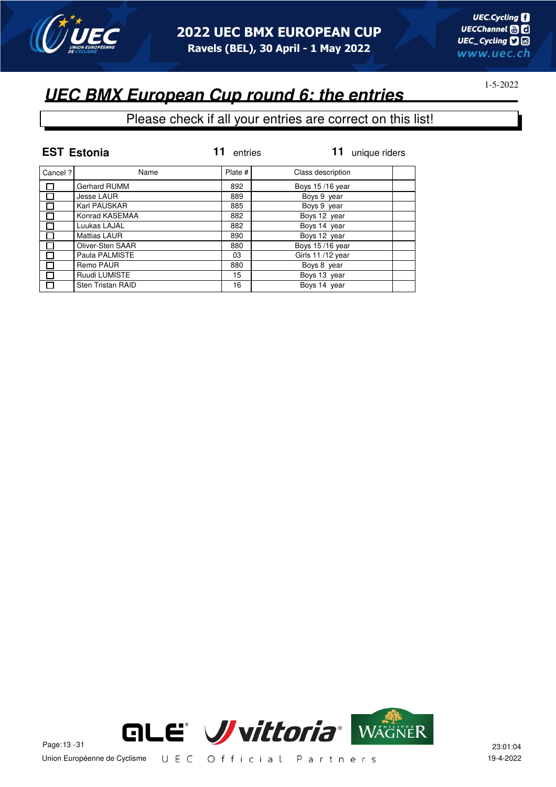

# **UEC BMX European Cup round 6: the entries**

|         | <b>EST Estonia</b>       | entries | unique riders     |
|---------|--------------------------|---------|-------------------|
| Cancel? | Name                     | Plate # | Class description |
|         | Gerhard RUMM             | 892     | Boys 15/16 year   |
| П       | <b>Jesse LAUR</b>        | 889     | Boys 9 year       |
|         | Karl PAUSKAR             | 885     | Boys 9 year       |
| П       | Konrad KASEMAA           | 882     | Boys 12 year      |
|         | Luukas LAJAL             | 882     | Boys 14 year      |
|         | <b>Mattias LAUR</b>      | 890     | Boys 12 year      |
|         | Oliver-Sten SAAR         | 880     | Boys 15/16 year   |
|         | Paula PALMISTE           | 03      | Girls 11/12 year  |
|         | Remo PAUR                | 880     | Boys 8 year       |
|         | Ruudi LUMISTE            | 15      | Boys 13 year      |
|         | <b>Sten Tristan RAID</b> | 16      | Boys 14 year      |

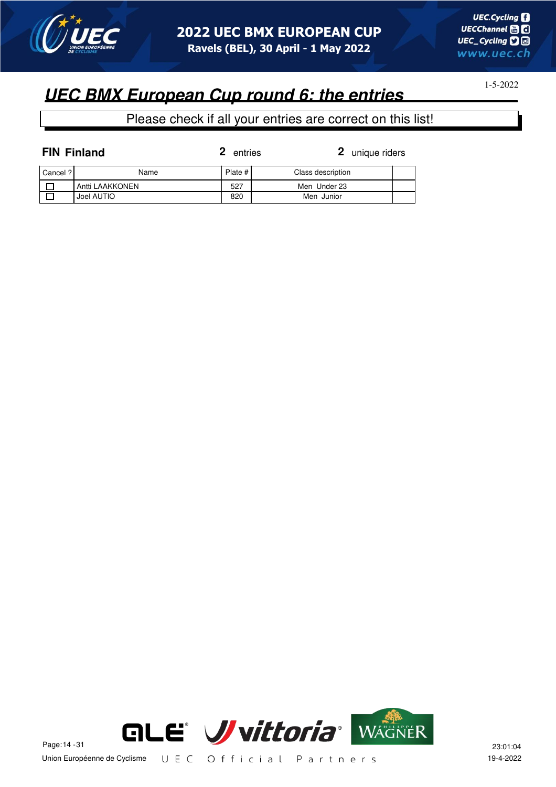

1-5-2022

|          | <b>FIN Finland</b> | 2<br>entries | 2 unique riders   |  |
|----------|--------------------|--------------|-------------------|--|
| Cancel ? | Name               | Plate #      | Class description |  |
|          | Antti LAAKKONEN    | 527          | Men Under 23      |  |
|          | Joel AUTIO         | 820          | Men Junior        |  |

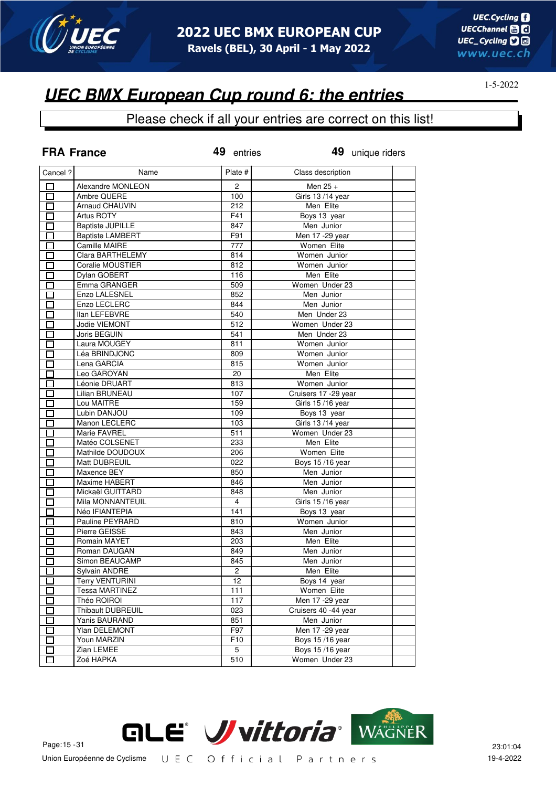

#### Please check if all your entries are correct on this list!

|                           | <b>FRA France</b>                 | 49 entries     | 49 unique riders     |
|---------------------------|-----------------------------------|----------------|----------------------|
| Cancel ?                  | Name                              | Plate #        | Class description    |
| П                         | Alexandre MONLEON                 | 2              | Men $25 +$           |
| П                         | Ambre QUERE                       | 100            | Girls 13/14 year     |
| П                         | Arnaud CHAUVIN                    | 212            | Men Elite            |
| E.                        | Artus ROTY                        | F41            | Boys 13 year         |
| П                         | <b>Baptiste JUPILLE</b>           | 847            | Men Junior           |
| П                         | <b>Baptiste LAMBERT</b>           | F91            | Men 17 - 29 year     |
| П                         | Camille MAIRE                     | 777            | Women Elite          |
| П                         | Clara BARTHELEMY                  | 814            | Women Junior         |
| П                         | Coralie MOUSTIER                  | 812            | Women Junior         |
| $\Box$                    | Dylan GOBERT                      | 116            | Men Elite            |
| $\Box$                    | Emma GRANGER                      | 509            | Women Under 23       |
| П                         | Enzo LALESNEL                     | 852            | Men Junior           |
| П                         | Enzo LECLERC                      | 844            | Men Junior           |
| П                         | <b>Ilan LEFEBVRE</b>              | 540            | Men Under 23         |
| П                         | Jodie VIEMONT                     | 512            | Women Under 23       |
| П                         | Joris BEGUIN                      | 541            | Men Under 23         |
| П                         | Laura MOUGEY                      | 811            | Women Junior         |
| П                         | Léa BRINDJONC                     | 809            | Women Junior         |
| $\Box$                    | Lena GARCIA                       | 815            | Women Junior         |
| П                         | Leo GAROYAN                       | 20             | Men Elite            |
| П                         | Léonie DRUART                     | 813            | Women Junior         |
| П                         | Lilian BRUNEAU                    | 107            | Cruisers 17 -29 year |
| П                         | Lou MAITRE                        | 159            | Girls 15 /16 year    |
| П                         | Lubin DANJOU                      | 109            | Boys 13 year         |
| П                         | Manon LECLERC                     | 103            | Girls 13/14 year     |
| П                         | Marie FAVREL                      | 511            | Women Under 23       |
| П                         | Matéo COLSENET                    | 233            | Men Elite            |
| E.                        | Mathilde DOUDOUX                  | 206            | Women Elite          |
|                           | Matt DUBREUIL                     | 022            | Boys 15/16 year      |
|                           | Maxence BEY                       |                | Men Junior           |
| $\overline{\phantom{0}}$  | Maxime HABERT                     | 850            | Men Junior           |
| П                         |                                   | 846            |                      |
| Π                         | Mickaël GUITTARD                  | 848            | Men Junior           |
| П                         | Mila MONNANTEUIL                  | $\overline{4}$ | Girls 15/16 year     |
| $\overline{\phantom{0}}$  | Néo IFIANTEPIA<br>Pauline PEYRARD | 141            | Boys 13 year         |
| П                         |                                   | 810            | Women Junior         |
| П                         | Pierre GEISSE                     | 843            | Men Junior           |
| <u>Litro de la propia</u> | Romain MAYET                      | 203            | Men Elite            |
| E.                        | Roman DAUGAN                      | 849            | Men Junior           |
| П                         | Simon BEAUCAMP                    | 845            | Men Junior           |
|                           | Sylvain ANDRE                     | $\overline{c}$ | Men Elite            |
|                           | <b>Terry VENTURINI</b>            | 12             | Boys 14 year         |
| Г                         | <b>Tessa MARTINEZ</b>             | 111            | Women Elite          |
| $\Box$                    | Théo ROIROI                       | 117            | Men 17 - 29 year     |
| П                         | Thibault DUBREUIL                 | 023            | Cruisers 40 -44 year |
| $\Box$                    | Yanis BAURAND                     | 851            | Men Junior           |
| П                         | Ylan DELEMONT                     | F97            | Men 17 - 29 year     |
| $\Box$                    | Youn MARZIN                       | F10            | Boys 15/16 year      |
|                           | Zian LEMEE                        | 5              | Boys 15/16 year      |
| П                         | Zoé HAPKA                         | 510            | Women Under 23       |

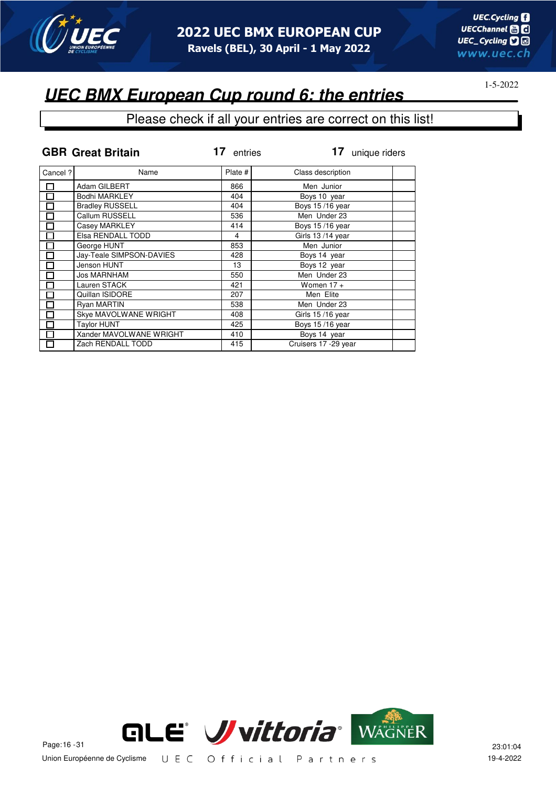

### **UEC BMX European Cup round 6: the entries**

|         | <b>GBR Great Britain</b> | 17<br>entries | 17<br>unique riders   |  |
|---------|--------------------------|---------------|-----------------------|--|
| Cancel? | Name                     | Plate #       | Class description     |  |
| $\Box$  | Adam GILBERT             | 866           | Men Junior            |  |
| П       | Bodhi MARKLEY            | 404           | Boys 10 year          |  |
|         | <b>Bradley RUSSELL</b>   | 404           | Boys 15/16 year       |  |
| П       | Callum RUSSELL           | 536           | Men Under 23          |  |
| П       | Casey MARKLEY            | 414           | Boys 15/16 year       |  |
| П       | Elsa RENDALL TODD        | 4             | Girls 13/14 year      |  |
| П       | George HUNT              | 853           | Men Junior            |  |
| П       | Jay-Teale SIMPSON-DAVIES | 428           | Boys 14 year          |  |
|         | Jenson HUNT              | 13            | Boys 12 year          |  |
| П       | <b>Jos MARNHAM</b>       | 550           | Men Under 23          |  |
| П       | Lauren STACK             | 421           | Women $17 +$          |  |
| П       | Quillan ISIDORE          | 207           | Men Elite             |  |
| $\Box$  | <b>Ryan MARTIN</b>       | 538           | Men Under 23          |  |
|         | Skye MAVOLWANE WRIGHT    | 408           | Girls 15/16 year      |  |
|         | <b>Taylor HUNT</b>       | 425           | Boys 15/16 year       |  |
|         | Xander MAVOLWANE WRIGHT  | 410           | Boys 14 year          |  |
|         | Zach RENDALL TODD        | 415           | Cruisers 17 - 29 year |  |

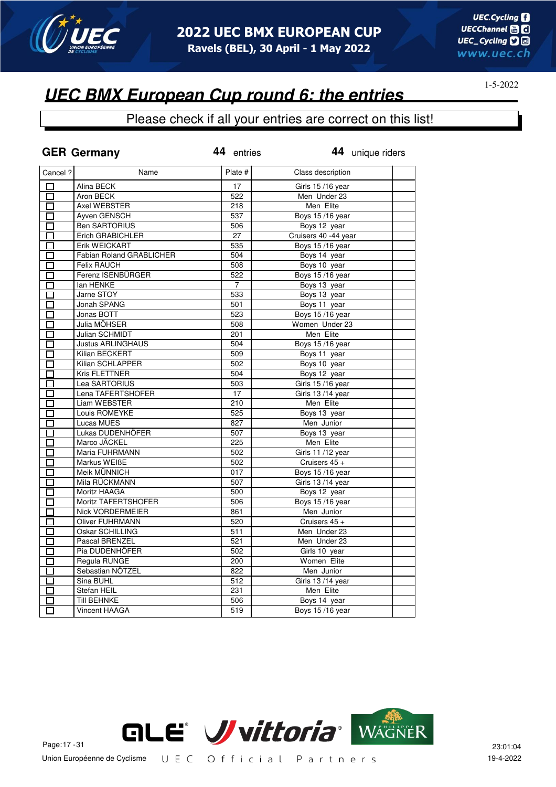

#### Please check if all your entries are correct on this list!

|                   | <b>GER Germany</b>                | 44 entries | 44 unique riders             |  |
|-------------------|-----------------------------------|------------|------------------------------|--|
| Cancel ?          | Name                              | Plate #    | Class description            |  |
| $\Box$            | Alina BECK                        | 17         | Girls 15/16 year             |  |
| 口                 | Aron BECK                         | 522        | Men Under 23                 |  |
| 靣                 | Axel WEBSTER                      | 218        | Men Elite                    |  |
| 囗                 | Ayven GENSCH                      | 537        | <b>Boys 15/16 year</b>       |  |
| $\overline{\Box}$ | <b>Ben SARTORIUS</b>              | 506        | Boys 12 year                 |  |
| П                 | Erich GRABICHLER                  | 27         | Cruisers 40 -44 year         |  |
| П                 | Erik WEICKART                     | 535        | Boys 15/16 year              |  |
| П                 | <b>Fabian Roland GRABLICHER</b>   | 504        | Boys 14 year                 |  |
| П                 | <b>Felix RAUCH</b>                | 508        | Boys 10 year                 |  |
| ◻                 | Ferenz ISENBÜRGER                 | 522        | <b>Boys 15/16 year</b>       |  |
| П                 | lan HENKE                         | 7          | Boys 13 year                 |  |
| П                 | Jarne STOY                        | 533        | Boys 13 year                 |  |
| $\Box$            | Jonah SPANG                       | 501        | Boys 11 year                 |  |
| П                 | Jonas BOTT                        | 523        | Boys 15/16 year              |  |
| П                 | Julia MÖHSER                      | 508        | Women Under 23               |  |
| П                 | Julian SCHMIDT                    | 201        | Men Elite                    |  |
| П                 | <b>Justus ARLINGHAUS</b>          | 504        | <b>Boys 15/16 year</b>       |  |
| □<br>П            | Kilian BECKERT                    | 509<br>502 | Boys 11 year<br>Boys 10 year |  |
|                   | Kilian SCHLAPPER<br>Kris FLETTNER | 504        | Boys 12 year                 |  |
| $\Box$<br>$\Box$  | Lea SARTORIUS                     | 503        | Girls 15/16 year             |  |
| □                 | Lena TAFERTSHOFER                 | 17         | Girls 13/14 year             |  |
| П                 | Liam WEBSTER                      | 210        | Men Elite                    |  |
| П                 | Louis ROMEYKE                     | 525        | Boys 13 year                 |  |
| П                 | Lucas MUES                        | 827        | Men Junior                   |  |
| П                 | Lukas DUDENHÖFER                  | 507        | Boys 13 year                 |  |
| 囗                 | Marco JÄCKEL                      | 225        | Men Elite                    |  |
| П                 | Maria FUHRMANN                    | 502        | Girls 11/12 year             |  |
| $\Box$            | Markus WEIBE                      | 502        | Cruisers 45 +                |  |
| П                 | Meik MÜNNICH                      | 017        | Boys 15/16 year              |  |
| П                 | Mila RÜCKMANN                     | 507        | Girls 13/14 year             |  |
| П                 | Moritz HAAGA                      | 500        | Boys 12 year                 |  |
| П                 | Moritz TAFERTSHOFER               | 506        | Boys 15/16 year              |  |
| П                 | Nick VORDERMEIER                  | 861        | Men Junior                   |  |
| Γİ                | Oliver FUHRMANN                   | 520        | Cruisers 45 +                |  |
| $\Box$            | Oskar SCHILLING                   | 511        | Men Under 23                 |  |
| П                 | Pascal BRENZEL                    | 521        | Men Under 23                 |  |
| □                 | Pia DUDENHÖFER                    | 502        | Girls 10 year                |  |
| П                 | Regula RUNGE                      | 200        | Women Elite                  |  |
| П                 | Sebastian NÖTZEL                  | 822        | Men Junior                   |  |
| $\Box$            | Sina BUHL                         | 512        | Girls 13/14 year             |  |
| П                 | Stefan HEIL                       | 231        | Men Elite                    |  |
|                   | <b>Till BEHNKE</b>                | 506        | Boys 14 year                 |  |
|                   | Vincent HAAGA                     | 519        | Boys 15/16 year              |  |

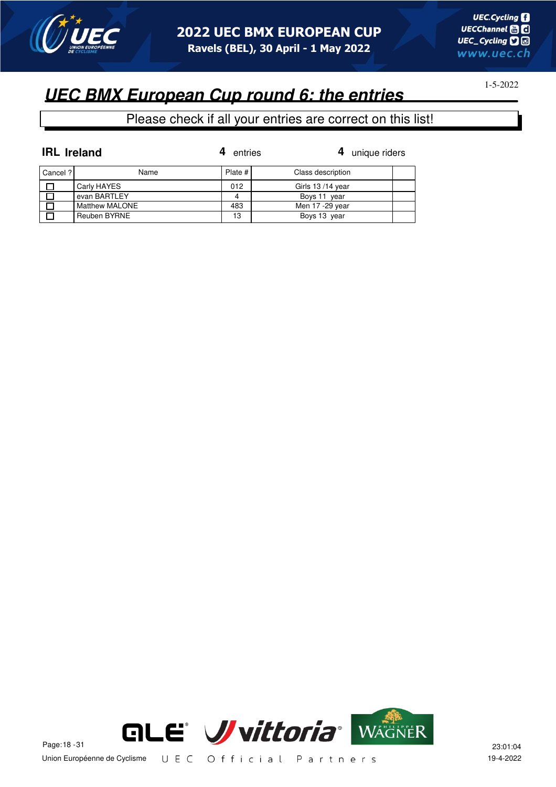

# **UEC BMX European Cup round 6: the entries**

| <b>IRL</b> Ireland |                | entries   | 4 unique riders   |  |
|--------------------|----------------|-----------|-------------------|--|
| Cancel ?           | Name           | Plate $#$ | Class description |  |
|                    | Carly HAYES    | 012       | Girls 13/14 year  |  |
|                    | evan BARTLEY   |           | Boys 11 year      |  |
|                    | Matthew MALONE | 483       | Men 17 -29 year   |  |
|                    | Reuben BYRNE   | 13        | Boys 13 year      |  |

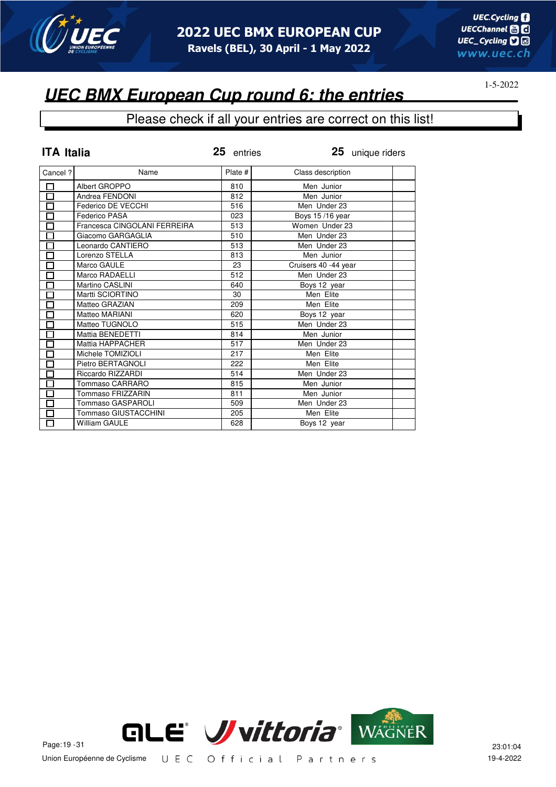

#### Please check if all your entries are correct on this list!

| <b>ITA Italia</b>            |                              | 25 entries | 25 unique riders     |  |
|------------------------------|------------------------------|------------|----------------------|--|
| Cancel?                      | Name                         | Plate #    | Class description    |  |
| 囗                            | Albert GROPPO                | 810        | Men Junior           |  |
| $\Box$                       | Andrea FENDONI               | 812        | Men Junior           |  |
| $\Box$                       | Federico DE VECCHI           | 516        | Men Under 23         |  |
| $\overline{\Box}$            | Federico PASA                | 023        | Boys 15/16 year      |  |
| $\Box$                       | Francesca CINGOLANI FERREIRA | 513        | Women Under 23       |  |
| $\overline{\Box}$            | Giacomo GARGAGLIA            | 510        | Men Under 23         |  |
| $\Box$                       | Leonardo CANTIERO            | 513        | Men Under 23         |  |
| $\Box$                       | Lorenzo STELLA               | 813        | Men Junior           |  |
| $\overline{\overline{\Box}}$ | Marco GAULE                  | 23         | Cruisers 40 -44 year |  |
| $\Box$                       | Marco RADAELLI               | 512        | Men Under 23         |  |
| $\Box$                       | Martino CASLINI              | 640        | Boys 12 year         |  |
| $\Box$                       | Martti SCIORTINO             | 30         | Men Elite            |  |
| $\Box$                       | Matteo GRAZIAN               | 209        | Men Elite            |  |
| $\overline{\Box}$            | Matteo MARIANI               | 620        | Boys 12 year         |  |
| П                            | Matteo TUGNOLO               | 515        | Men Under 23         |  |
| $\Box$                       | Mattia BENEDETTI             | 814        | Men Junior           |  |
| $\overline{\Box}$            | Mattia HAPPACHER             | 517        | Men Under 23         |  |
| $\Box$                       | Michele TOMIZIOLI            | 217        | Men Elite            |  |
| $\Box$                       | Pietro BERTAGNOLI            | 222        | Men Elite            |  |
| П                            | Riccardo RIZZARDI            | 514        | Men Under 23         |  |
| 囗                            | Tommaso CARRARO              | 815        | Men Junior           |  |
| $\Box$                       | Tommaso FRIZZARIN            | 811        | Men Junior           |  |
| $\overline{\square}$         | <b>Tommaso GASPAROLI</b>     | 509        | Men Under 23         |  |
| $\Box$                       | Tommaso GIUSTACCHINI         | 205        | Men Elite            |  |
| П                            | <b>William GAULE</b>         | 628        | Boys 12 year         |  |

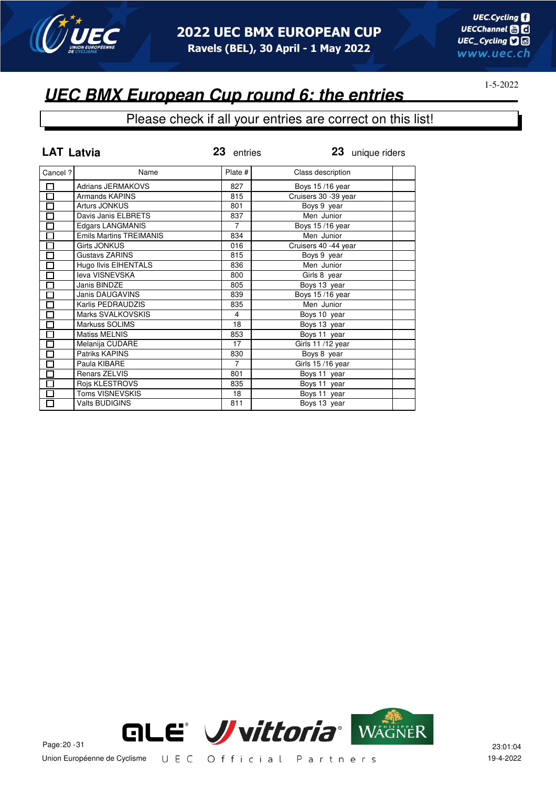

### **UEC BMX European Cup round 6: the entries**

| <b>LAT Latvia</b>    |                                | 23 entries     | 23 unique riders      |  |
|----------------------|--------------------------------|----------------|-----------------------|--|
| Cancel ?             | Name                           | Plate #        | Class description     |  |
| $\Box$               | <b>Adrians JERMAKOVS</b>       | 827            | Boys 15/16 year       |  |
| $\overline{\square}$ | Armands KAPINS                 | 815            | Cruisers 30 - 39 year |  |
| 囗                    | Arturs JONKUS                  | 801            | Boys 9 year           |  |
| 口                    | Davis Janis ELBRETS            | 837            | Men Junior            |  |
| $\Box$               | <b>Edgars LANGMANIS</b>        | $\overline{7}$ | Boys 15/16 year       |  |
| $\Box$               | <b>Emils Martins TREIMANIS</b> | 834            | Men Junior            |  |
| $\Box$               | Girts JONKUS                   | 016            | Cruisers 40 -44 year  |  |
| $\Box$               | Gustavs ZARINS                 | 815            | Boys 9 year           |  |
| $\overline{\Box}$    | Hugo Ilvis EIHENTALS           | 836            | Men Junior            |  |
| $\Box$               | leva VISNEVSKA                 | 800            | Girls 8 year          |  |
| $\Box$               | Janis BINDZE                   | 805            | Boys 13 year          |  |
| $\overline{\square}$ | <b>Janis DAUGAVINS</b>         | 839            | Boys 15/16 year       |  |
| О                    | Karlis PEDRAUDZIS              | 835            | Men Junior            |  |
| $\Box$               | Marks SVALKOVSKIS              | 4              | Boys 10 year          |  |
| $\Box$               | Markuss SOLIMS                 | 18             | Boys 13 year          |  |
| $\Box$               | <b>Matiss MELNIS</b>           | 853            | Boys 11 year          |  |
| $\Box$               | Melanija CUDARE                | 17             | Girls 11/12 year      |  |
| $\overline{\square}$ | Patriks KAPINS                 | 830            | Boys 8 year           |  |
| $\Box$               | Paula KIBARE                   | $\overline{7}$ | Girls 15/16 year      |  |
| $\Box$               | Renars ZELVIS                  | 801            | Boys 11 year          |  |
| $\Box$               | Rojs KLESTROVS                 | 835            | Boys 11 year          |  |
| $\Box$               | Toms VISNEVSKIS                | 18             | Boys 11 year          |  |
| 口                    | <b>Valts BUDIGINS</b>          | 811            | Boys 13 year          |  |

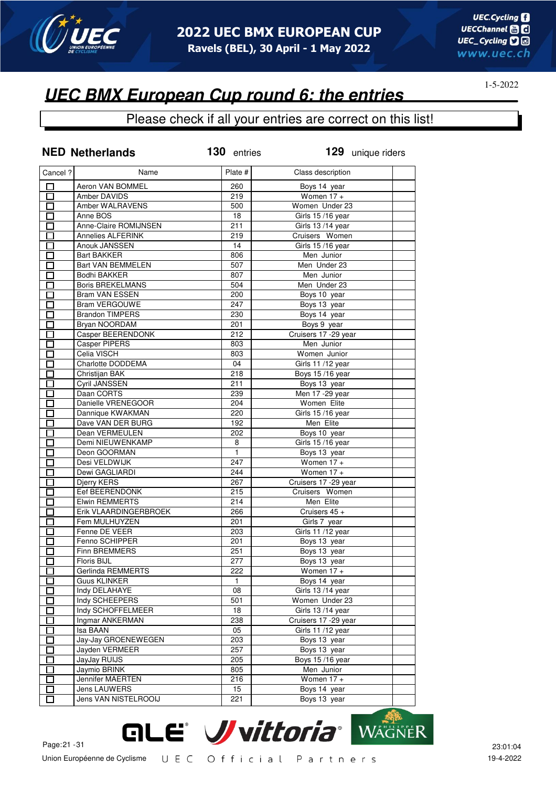

### **UEC BMX European Cup round 6: the entries**

|              | <b>NED Netherlands</b>   | 130 entries      | 129 unique riders     |
|--------------|--------------------------|------------------|-----------------------|
| Cancel ?     | Name                     | Plate #          | Class description     |
| $\Box$       | Aeron VAN BOMMEL         | 260              | Boys 14 year          |
| 口            | Amber DAVIDS             | 219              | Women $17 +$          |
| П            | Amber WALRAVENS          | 500              | Women Under 23        |
| П            | Anne BOS                 | 18               | Girls 15/16 year      |
| П            | Anne-Claire ROMIJNSEN    | 211              | Girls 13 /14 year     |
| П            | <b>Annelies ALFERINK</b> | 219              | Cruisers Women        |
| П            | Anouk JANSSEN            | 14               | Girls 15 /16 year     |
| П            | <b>Bart BAKKER</b>       | 806              | Men Junior            |
| П            | Bart VAN BEMMELEN        | 507              | Men Under 23          |
| □            | <b>Bodhi BAKKER</b>      | 807              | Men Junior            |
| $\Box$       | <b>Boris BREKELMANS</b>  | 504              | Men Under 23          |
| 口            | <b>Bram VAN ESSEN</b>    | 200              | Boys 10 year          |
| П            | <b>Bram VERGOUWE</b>     | 247              | Boys 13 year          |
| $\Box$       | <b>Brandon TIMPERS</b>   | 230              | Boys 14 year          |
| П            | Bryan NOORDAM            | 201              | Boys 9 year           |
| П            | <b>Casper BEERENDONK</b> | 212              | Cruisers 17 - 29 year |
| П            | Casper PIPERS            | 803              | Men Junior            |
| □            | Celia VISCH              | 803              | Women Junior          |
| D            | Charlotte DODDEMA        | 04               | Girls 11/12 year      |
| П            | Christijan BAK           | 218              | Boys 15/16 year       |
| П            | Cyril JANSSEN            | 211              | Boys 13 year          |
| □            | Daan CORTS               | 239              | Men 17 - 29 year      |
| $\Box$       | Danielle VRENEGOOR       | 204              | Women Elite           |
| П            | Dannique KWAKMAN         | 220              | Girls 15/16 year      |
| П            | Dave VAN DER BURG        | 192              | Men Elite             |
| $\Box$       | Dean VERMEULEN           | 202              | Boys 10 year          |
| П            | Demi NIEUWENKAMP         | 8                | Girls 15/16 year      |
| П            | Deon GOORMAN             | $\overline{1}$   | Boys 13 year          |
| П            | Desi VELDWIJK            | $\overline{247}$ | Women $17 +$          |
| П            | Dewi GAGLIARDI           | 244              | Women $17 +$          |
| $\Box$       | Djerry KERS              | 267              | Cruisers 17 -29 year  |
| П            | Eef BEERENDONK           | 215              | Cruisers Women        |
| П            | <b>Elwin REMMERTS</b>    | 214              | Men Elite             |
| П            | Erik VLAARDINGERBROEK    | 266              | Cruisers 45 +         |
| П            | Fem MULHUYZEN            | 201              | Girls 7 year          |
| П            | Fenne DE VEER            | 203              | Girls 11/12 year      |
| П            | Fenno SCHIPPER           | 201              | Boys 13 year          |
| П            | Finn BREMMERS            | 251              | Boys 13 year          |
| П            | Floris BIJL              | 277              | Boys 13 year          |
|              | Gerlinda REMMERTS        | 222              | Women $17 +$          |
|              | <b>Guus KLINKER</b>      | 1                | Boys 14 year          |
| П            | Indy DELAHAYE            | 08               | Girls 13/14 year      |
| $\Box$       | Indy SCHEEPERS           | 501              | Women Under 23        |
| $\Box$       | Indy SCHOFFELMEER        | 18               | Girls 13/14 year      |
| 口            | Ingmar ANKERMAN          | 238              | Cruisers 17 - 29 year |
| $\Box$       | Isa BAAN                 | 05               | Girls 11/12 year      |
| $\Box$       | Jay-Jay GROENEWEGEN      | 203              | Boys 13 year          |
| $\Box$       | Jayden VERMEER           | 257              | Boys 13 year          |
| П            | JayJay RUIJS             | 205              | Boys 15/16 year       |
| П            | Jaymio BRINK             | 805              | Men Junior            |
| $\mathbf{I}$ | Jennifer MAERTEN         | 216              | Women $17 +$          |
|              | Jens LAUWERS             | 15               | Boys 14 year          |
| П            | Jens VAN NISTELROOIJ     | 221              | Boys 13 year          |

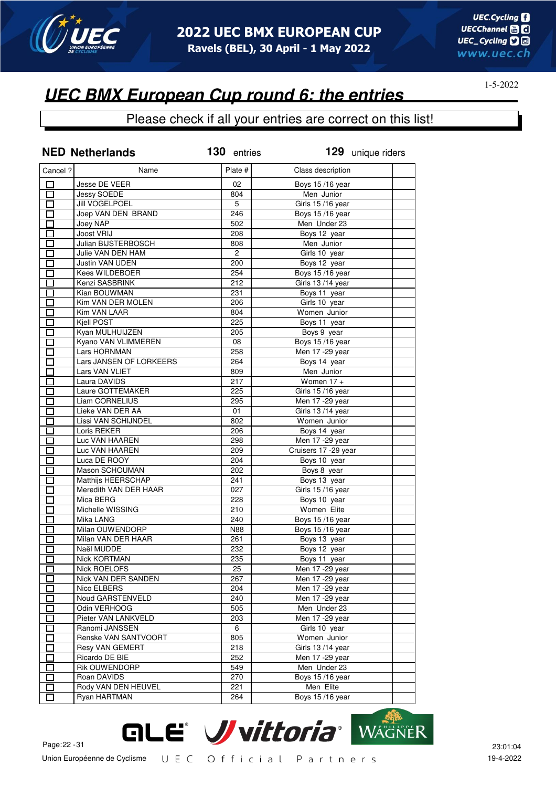

### **UEC BMX European Cup round 6: the entries**

|                                                      | <b>NED Netherlands</b>  | 130 entries    | 129 unique riders      |  |
|------------------------------------------------------|-------------------------|----------------|------------------------|--|
| Cancel ?                                             | Name                    | Plate #        | Class description      |  |
| □                                                    | Jesse DE VEER           | 02             | Boys 15/16 year        |  |
| $\Box$                                               | Jessy SOEDE             | 804            | Men Junior             |  |
| П                                                    | Jill VOGELPOEL          | 5              | Girls 15/16 year       |  |
| □                                                    | Joep VAN DEN BRAND      | 246            | Boys 15/16 year        |  |
| $\Box$                                               | Joey NAP                | 502            | Men Under 23           |  |
| П                                                    | Joost VRIJ              | 208            | Boys 12 year           |  |
| 口                                                    | Julian BIJSTERBOSCH     | 808            | Men Junior             |  |
| $\Box$                                               | Julie VAN DEN HAM       | $\overline{c}$ | Girls 10 year          |  |
| $\Box$                                               | Justin VAN UDEN         | 200            | Boys 12 year           |  |
| П                                                    | Kees WILDEBOER          | 254            | <b>Boys 15/16 year</b> |  |
| П                                                    | Kenzi SASBRINK          | 212            | Girls 13/14 year       |  |
| П                                                    | Kian BOUWMAN            | 231            | Boys 11 year           |  |
| П                                                    | Kim VAN DER MOLEN       | 206            | Girls 10 year          |  |
| $\Box$                                               | Kim VAN LAAR            | 804            | Women Junior           |  |
| Π                                                    | Kiell POST              | 225            | Boys 11 year           |  |
| Ξ                                                    | Kyan MULHUIJZEN         | 205            | Boys 9 year            |  |
|                                                      | Kyano VAN VLIMMEREN     | 08             |                        |  |
| П                                                    | Lars HORNMAN            | 258            | Boys 15/16 year        |  |
| Π                                                    |                         |                | Men 17 - 29 year       |  |
| E.                                                   | Lars JANSEN OF LORKEERS | 264            | Boys 14 year           |  |
| П                                                    | Lars VAN VLIET          | 809            | Men Junior             |  |
| П                                                    | Laura DAVIDS            | 217            | Women $17 +$           |  |
| П                                                    | Laure GOTTEMAKER        | 225            | Girls 15/16 year       |  |
| П                                                    | Liam CORNELIUS          | 295            | Men 17 - 29 year       |  |
| П                                                    | Lieke VAN DER AA        | 01             | Girls 13/14 year       |  |
| $\Box$                                               | Lissi VAN SCHIJNDEL     | 802            | Women Junior           |  |
| П                                                    | Loris REKER             | 206            | Boys 14 year           |  |
| П                                                    | Luc VAN HAAREN          | 298            | Men 17 - 29 year       |  |
| П                                                    | Luc VAN HAAREN          | 209            | Cruisers 17 - 29 year  |  |
| $\Box$                                               | Luca DE ROOY            | 204            | Boys 10 year           |  |
| П                                                    | Mason SCHOUMAN          | 202            | Boys 8 year            |  |
| П                                                    | Matthijs HEERSCHAP      | 241            | Boys 13 year           |  |
| П                                                    | Meredith VAN DER HAAR   | 027            | Girls 15/16 year       |  |
| $\Box$                                               | Mica BERG               | 228            | Boys 10 year           |  |
| $\Box$                                               | Michelle WISSING        | 210            | Women Elite            |  |
| П                                                    | Mika LANG               | 240            | Boys 15/16 year        |  |
| П                                                    | Milan OUWENDORP         | N88            | Boys 15/16 year        |  |
| П                                                    | Milan VAN DER HAAR      | 261            | Boys 13 year           |  |
|                                                      | Naël MUDDE              | 232            | Boys 12 year           |  |
| $\Box$                                               | Nick KORTMAN            | 235            | Boys 11 year           |  |
| ப                                                    | Nick ROELOFS            | 25             | Men 17 - 29 year       |  |
| П                                                    | Nick VAN DER SANDEN     | 267            | Men 17 - 29 year       |  |
| $\mathsf{\Gamma}$                                    | Nico ELBERS             | 204            | Men 17 - 29 year       |  |
| $\mathbf{I}$                                         | Noud GARSTENVELD        | 240            | Men 17 - 29 year       |  |
| $\Box$                                               | Odin VERHOOG            | 505            | Men Under 23           |  |
| n an an Aonaichte ag an Sualach an 1977.<br>Tagairtí | Pieter VAN LANKVELD     | 203            | Men 17 - 29 year       |  |
| $\mathbf{r}$                                         | Ranomi JANSSEN          | 6              | Girls 10 year          |  |
| П                                                    | Renske VAN SANTVOORT    | 805            | Women Junior           |  |
| $\overline{\phantom{0}}$                             | Resy VAN GEMERT         | 218            | Girls 13/14 year       |  |
| $\overline{\phantom{0}}$                             | Ricardo DE BIE          | 252            | Men 17 - 29 year       |  |
| П                                                    | <b>Rik OUWENDORP</b>    | 549            | Men Under 23           |  |
| П                                                    | Roan DAVIDS             | 270            | Boys 15/16 year        |  |
| П                                                    | Rody VAN DEN HEUVEL     | 221            | Men Elite              |  |
| H                                                    | Ryan HARTMAN            | 264            | Boys 15/16 year        |  |
|                                                      |                         |                |                        |  |

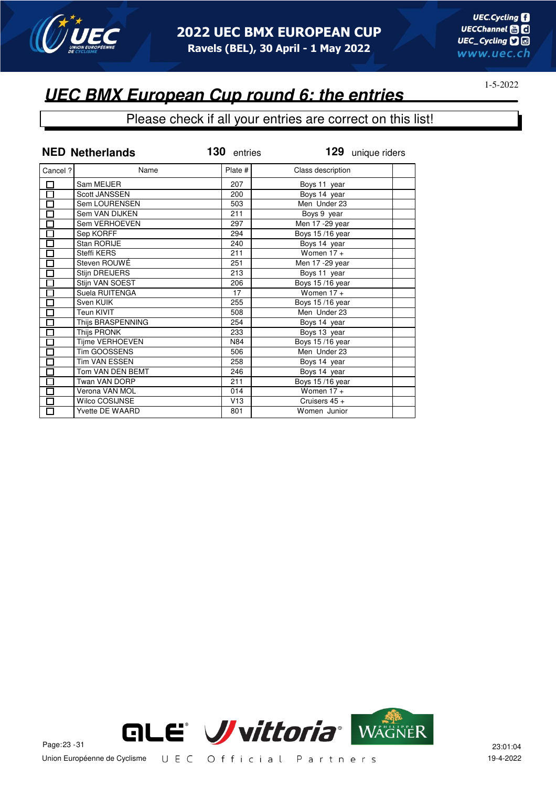

### **UEC BMX European Cup round 6: the entries**

|                      | <b>NED Netherlands</b> | 130 entries | 129 unique riders |
|----------------------|------------------------|-------------|-------------------|
| Cancel ?             | Name                   | Plate #     | Class description |
|                      | Sam MEIJER             | 207         | Boys 11 year      |
| 昌旦                   | <b>Scott JANSSEN</b>   | 200         | Boys 14 year      |
|                      | Sem LOURENSEN          | 503         | Men Under 23      |
|                      | Sem VAN DIJKEN         | 211         | Boys 9 year       |
| $\overline{\Box}$    | Sem VERHOEVEN          | 297         | Men 17 - 29 year  |
| 마다미디디                | Sep KORFF              | 294         | Boys 15/16 year   |
|                      | Stan RORIJE            | 240         | Boys 14 year      |
|                      | Steffi KERS            | 211         | Women $17 +$      |
|                      | Steven ROUWÉ           | 251         | Men 17 - 29 year  |
|                      | Stijn DREIJERS         | 213         | Boys 11 year      |
|                      | Stijn VAN SOEST        | 206         | Boys 15/16 year   |
| $\overline{\Box}$    | Suela RUITENGA         | 17          | Women $17 +$      |
| $\frac{\Box}{\Box}$  | Sven KUIK              | 255         | Boys 15/16 year   |
|                      | Teun KIVIT             | 508         | Men Under 23      |
| 日日                   | Thijs BRASPENNING      | 254         | Boys 14 year      |
|                      | Thijs PRONK            | 233         | Boys 13 year      |
|                      | Tijme VERHOEVEN        | N84         | Boys 15/16 year   |
| $\overline{\Xi}$     | Tim GOOSSENS           | 506         | Men Under 23      |
|                      | <b>Tim VAN ESSEN</b>   | 258         | Boys 14 year      |
| $\overline{\Xi}$     | Tom VAN DEN BEMT       | 246         | Boys 14 year      |
|                      | Twan VAN DORP          | 211         | Boys 15/16 year   |
| Ē                    | Verona VAN MOL         | 014         | Women $17 +$      |
|                      | <b>Wilco COSIJNSE</b>  | V13         | Cruisers $45 +$   |
| $\overline{\square}$ | <b>Yvette DE WAARD</b> | 801         | Women Junior      |

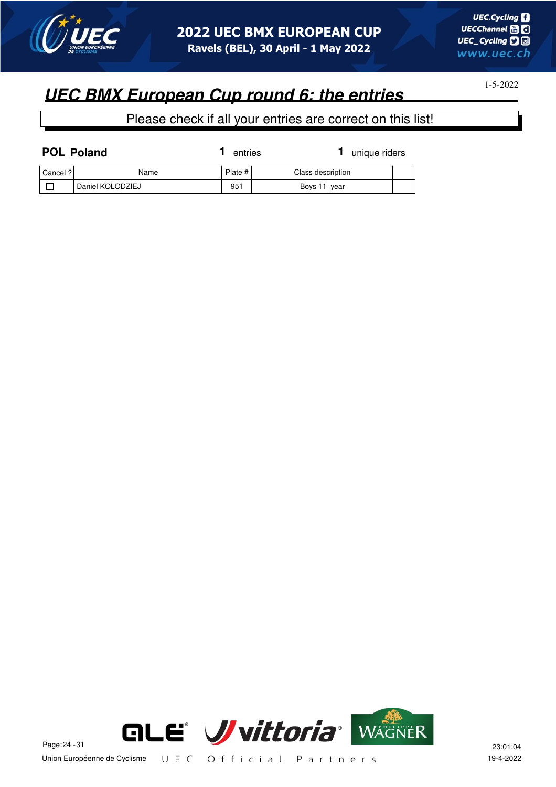

1-5-2022

| <b>POL Poland</b> |                  | entries   | unique riders     |  |
|-------------------|------------------|-----------|-------------------|--|
| Cancel ?          | Name             | Plate $#$ | Class description |  |
|                   | Daniel KOLODZIEJ | 951       | Boys 11 year      |  |

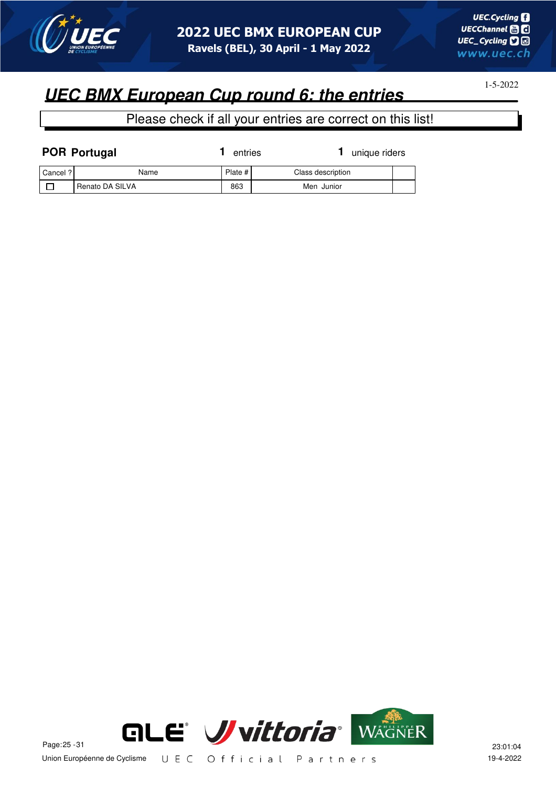

1-5-2022

| <b>POR Portugal</b> |                 | entries |                   | unique riders |  |
|---------------------|-----------------|---------|-------------------|---------------|--|
| l Cancel ? l        | Name            | Plate # | Class description |               |  |
|                     | Renato DA SILVA | 863     | Men Junior        |               |  |

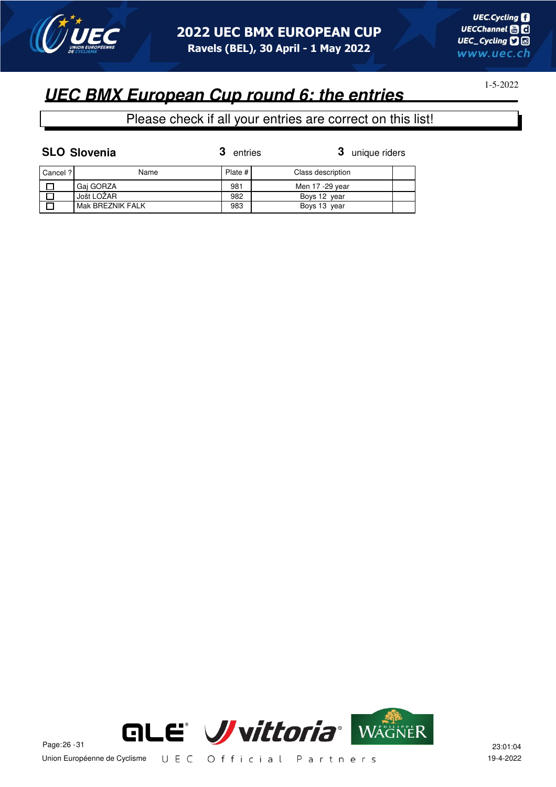

# **UEC BMX European Cup round 6: the entries**

### Please check if all your entries are correct on this list!

| <b>SLO Slovenia</b> | 3 entries | 3 uniq |
|---------------------|-----------|--------|
|                     |           |        |

**3** entries **3** unique riders

| l Cancel ? l | Name             | Plate # | Class description |  |
|--------------|------------------|---------|-------------------|--|
|              | Gai GORZA        | 981     | Men 17 -29 year   |  |
|              | Jošt LOŽAR       | 982     | Boys 12 year      |  |
|              | Mak BREZNIK FALK | 983     | Boys 13 year      |  |

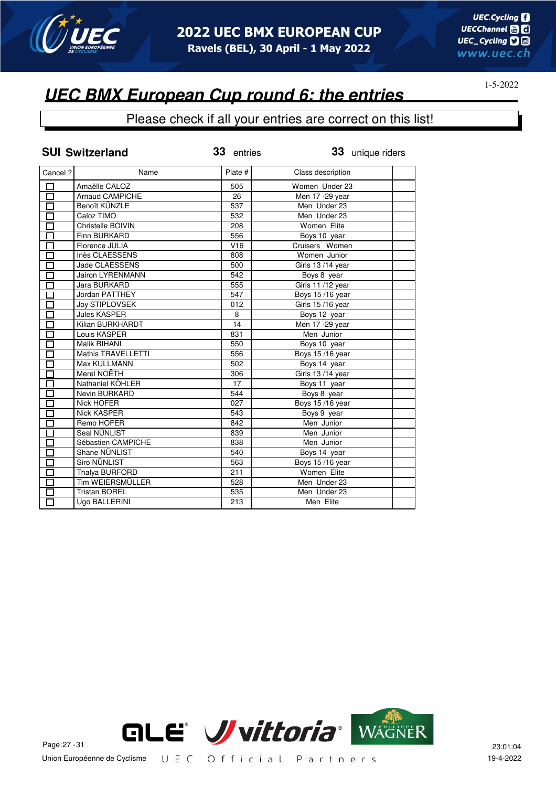

### Please check if all your entries are correct on this list!

|                          | <b>SUI Switzerland</b> | 33 entries | 33 unique riders  |  |
|--------------------------|------------------------|------------|-------------------|--|
| Cancel ?                 | Name                   | Plate #    | Class description |  |
| $\Box$                   | Amaëlle CALOZ          | 505        | Women Under 23    |  |
| $\overline{\Box}$        | <b>Arnaud CAMPICHE</b> | 26         | Men 17 - 29 year  |  |
| П                        | Benoît KÜNZLE          | 537        | Men Under 23      |  |
| П                        | Caloz TIMO             | 532        | Men Under 23      |  |
| П                        | Christelle BOIVIN      | 208        | Women Elite       |  |
| $\overline{\phantom{0}}$ | Finn BURKARD           | 556        | Boys 10 year      |  |
| П                        | Florence JULIA         | V16        | Cruisers Women    |  |
| П                        | Inès CLAESSENS         | 808        | Women Junior      |  |
| П                        | Jade CLAESSENS         | 500        | Girls 13/14 year  |  |
| п                        | Jairon LYRENMANN       | 542        | Boys 8 year       |  |
|                          | Jara BURKARD           | 555        | Girls 11/12 year  |  |
| П                        | Jordan PATTHEY         | 547        | Boys 15/16 year   |  |
|                          | Joy STIPLOVSEK         | 012        | Girls 15/16 year  |  |
|                          | <b>Jules KASPER</b>    | 8          | Boys 12 year      |  |
| П                        | Kilian BURKHARDT       | 14         | Men 17 - 29 year  |  |
| П                        | Louis KASPER           | 831        | Men Junior        |  |
| П                        | Malik RIHANI           | 550        | Boys 10 year      |  |
| П                        | Mathis TRAVELLETTI     | 556        | Boys 15/16 year   |  |
| П                        | Max KULLMANN           | 502        | Boys 14 year      |  |
| П                        | Merel NOËTH            | 306        | Girls 13/14 year  |  |
| П                        | Nathaniel KÖHLER       | 17         | Boys 11 year      |  |
| $\Box$                   | Nevin BURKARD          | 544        | Boys 8 year       |  |
| $\Box$                   | Nick HOFER             | 027        | Boys 15/16 year   |  |
| 口                        | <b>Nick KASPER</b>     | 543        | Boys 9 year       |  |
| $\Box$                   | Remo HOFER             | 842        | Men Junior        |  |
| П                        | Seal NÜNLIST           | 839        | Men Junior        |  |
| П                        | Sébastien CAMPICHE     | 838        | Men Junior        |  |
| П                        | Shane NÜNLIST          | 540        | Boys 14 year      |  |
| $\Box$                   | <b>Siro NÜNLIST</b>    | 563        | Boys 15/16 year   |  |
| $\Box$                   | Thalya BURFORD         | 211        | Women Elite       |  |
| $\Box$                   | Tim WEIERSMÜLLER       | 528        | Men Under 23      |  |
| П                        | <b>Tristan BOREL</b>   | 535        | Men Under 23      |  |
| П                        | Ugo BALLERINI          | 213        | Men Elite         |  |

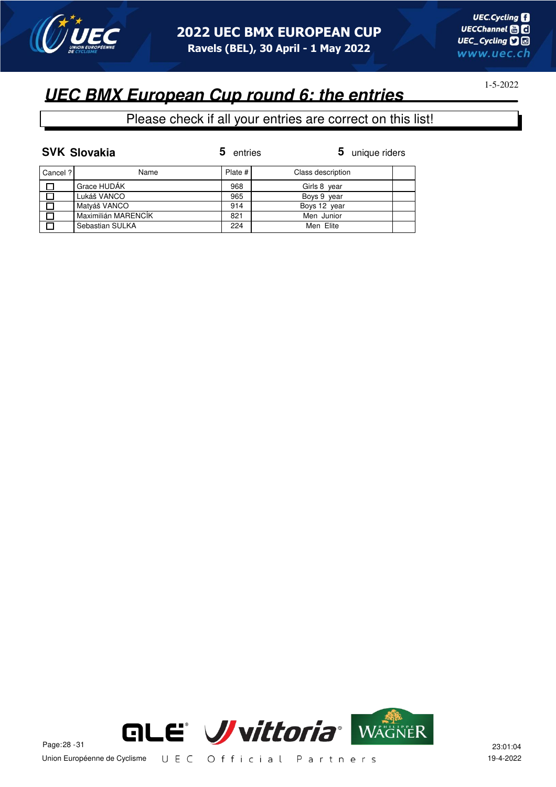

## **UEC BMX European Cup round 6: the entries**

|          | <b>SVK Slovakia</b> | 5<br>entries | 5 unique riders   |
|----------|---------------------|--------------|-------------------|
| Cancel ? | Name                | Plate #      | Class description |
| П        | Grace HUDÁK         | 968          | Girls 8 year      |
|          | Lukáš VANCO         | 965          | Boys 9 year       |
|          | Matyáš VANCO        | 914          | Boys 12 year      |
| $\Box$   | Maximilián MARENCÍK | 821          | Men Junior        |
| П        | Sebastian SULKA     | 224          | Men Elite         |

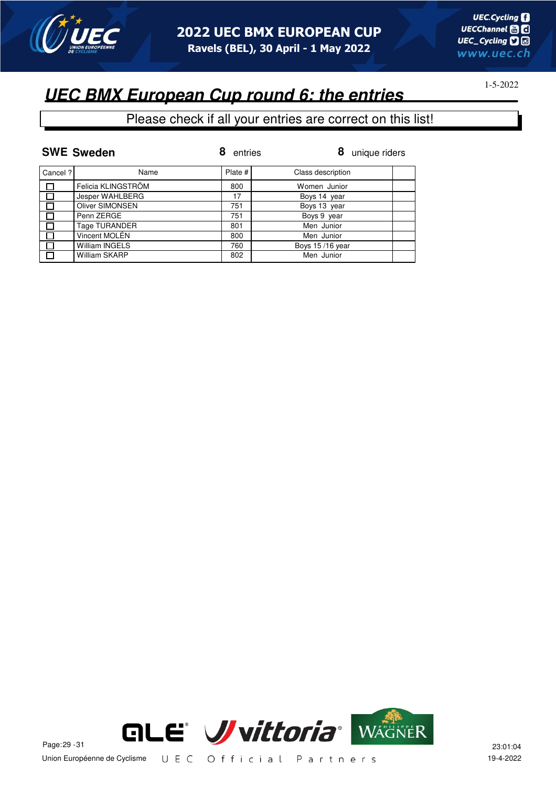

# **UEC BMX European Cup round 6: the entries**

|          | <b>SWE Sweden</b>     | entries | 8<br>unique riders |
|----------|-----------------------|---------|--------------------|
| Cancel ? | Name                  | Plate # | Class description  |
|          | Felicia KLINGSTRÖM    | 800     | Women Junior       |
| $\Box$   | Jesper WAHLBERG       | 17      | Boys 14 year       |
|          | Oliver SIMONSEN       | 751     | Boys 13 year       |
|          | Penn ZERGE            | 751     | Boys 9 year        |
|          | Tage TURANDER         | 801     | Men Junior         |
|          | Vincent MOLÉN         | 800     | Men Junior         |
|          | <b>William INGELS</b> | 760     | Boys 15/16 year    |
|          | William SKARP         | 802     | Men Junior         |

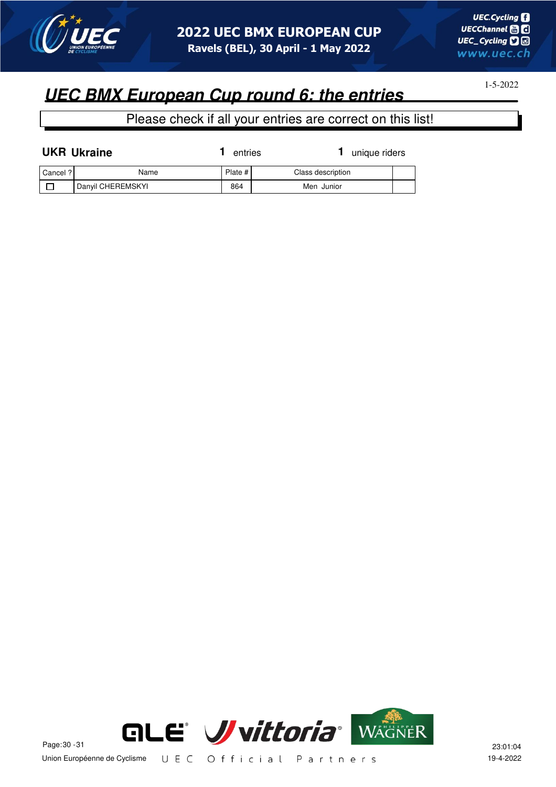

1-5-2022

| <b>UKR Ukraine</b> |                   | unique riders<br>entries |                   |  |
|--------------------|-------------------|--------------------------|-------------------|--|
| Cancel ?           | Name              | Plate #                  | Class description |  |
|                    | Danyil CHEREMSKYI | 864                      | Men Junior        |  |